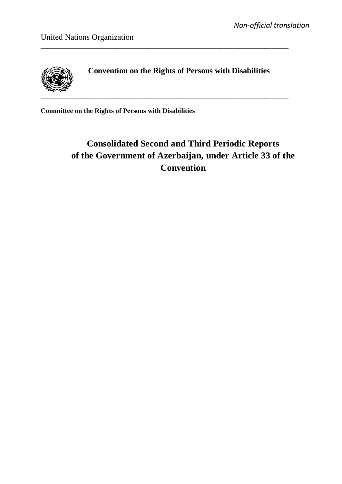

**Convention on the Rights of Persons with Disabilities**

\_\_\_\_\_\_\_\_\_\_\_\_\_\_\_\_\_\_\_\_\_\_\_\_\_\_\_\_\_\_\_\_\_\_\_\_\_\_\_\_\_\_\_\_\_\_\_\_\_\_\_\_\_\_\_\_\_\_\_\_\_\_\_\_\_\_\_\_\_\_\_\_

**Committee on the Rights of Persons with Disabilities**

# **Consolidated Second and Third Periodic Reports of the Government of Azerbaijan, under Article 33 of the Convention**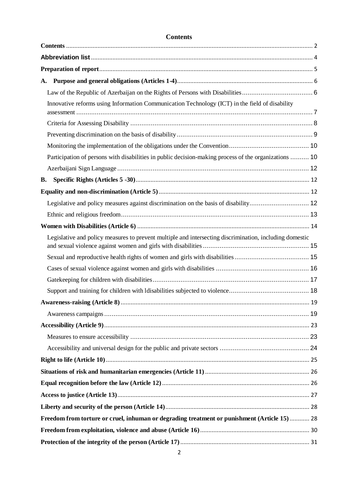| A.                                                                                                      |  |
|---------------------------------------------------------------------------------------------------------|--|
|                                                                                                         |  |
| Innovative reforms using Information Communication Technology (ICT) in the field of disability          |  |
|                                                                                                         |  |
|                                                                                                         |  |
|                                                                                                         |  |
| Participation of persons with disabilities in public decision-making process of the organizations  10   |  |
|                                                                                                         |  |
| <b>B.</b>                                                                                               |  |
|                                                                                                         |  |
| Legislative and policy measures against discrimination on the basis of disability 12                    |  |
|                                                                                                         |  |
|                                                                                                         |  |
| Legislative and policy measures to prevent multiple and intersecting discrimination, including domestic |  |
|                                                                                                         |  |
|                                                                                                         |  |
|                                                                                                         |  |
|                                                                                                         |  |
|                                                                                                         |  |
|                                                                                                         |  |
|                                                                                                         |  |
|                                                                                                         |  |
|                                                                                                         |  |
|                                                                                                         |  |
|                                                                                                         |  |
|                                                                                                         |  |
|                                                                                                         |  |
|                                                                                                         |  |
| Freedom from torture or cruel, inhuman or degrading treatment or punishment (Article 15) 28             |  |
|                                                                                                         |  |
|                                                                                                         |  |
|                                                                                                         |  |

### **Contents**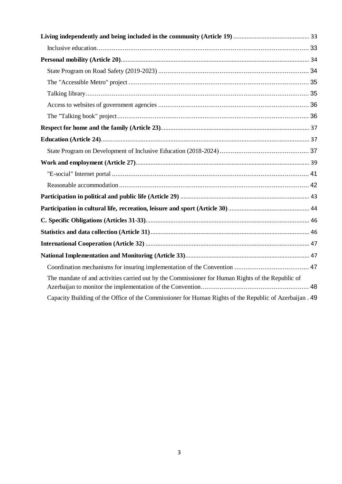| The mandate of and activities carried out by the Commissioner for Human Rights of the Republic of       |  |
|---------------------------------------------------------------------------------------------------------|--|
| Capacity Building of the Office of the Commissioner for Human Rights of the Republic of Azerbaijan . 49 |  |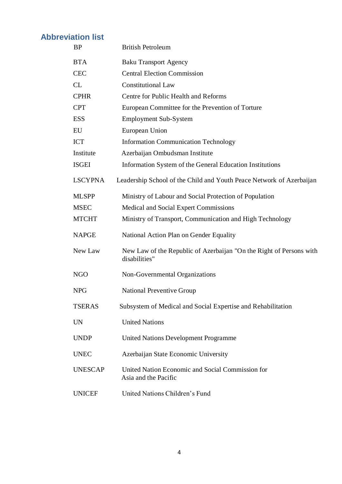# **[Abbreviation list](http://tureng.com/search/abbreviation%20list)**

| <b>BP</b>      | <b>British Petroleum</b>                                                             |
|----------------|--------------------------------------------------------------------------------------|
| <b>BTA</b>     | <b>Baku Transport Agency</b>                                                         |
| <b>CEC</b>     | <b>Central Election Commission</b>                                                   |
| CL             | <b>Constitutional Law</b>                                                            |
| <b>CPHR</b>    | Centre for Public Health and Reforms                                                 |
| <b>CPT</b>     | European Committee for the Prevention of Torture                                     |
| <b>ESS</b>     | <b>Employment Sub-System</b>                                                         |
| EU             | European Union                                                                       |
| <b>ICT</b>     | <b>Information Communication Technology</b>                                          |
| Institute      | Azerbaijan Ombudsman Institute                                                       |
| <b>ISGEI</b>   | Information System of the General Education Institutions                             |
| <b>LSCYPNA</b> | Leadership School of the Child and Youth Peace Network of Azerbaijan                 |
| <b>MLSPP</b>   | Ministry of Labour and Social Protection of Population                               |
| <b>MSEC</b>    | Medical and Social Expert Commissions                                                |
| <b>MTCHT</b>   | Ministry of Transport, Communication and High Technology                             |
| <b>NAPGE</b>   | National Action Plan on Gender Equality                                              |
| New Law        | New Law of the Republic of Azerbaijan "On the Right of Persons with<br>disabilities" |
| NGO            | Non-Governmental Organizations                                                       |
| <b>NPG</b>     | <b>National Preventive Group</b>                                                     |
| <b>TSERAS</b>  | Subsystem of Medical and Social Expertise and Rehabilitation                         |
| <b>UN</b>      | <b>United Nations</b>                                                                |
| <b>UNDP</b>    | <b>United Nations Development Programme</b>                                          |
| <b>UNEC</b>    | Azerbaijan State Economic University                                                 |
| <b>UNESCAP</b> | United Nation Economic and Social Commission for<br>Asia and the Pacific             |
| <b>UNICEF</b>  | United Nations Children's Fund                                                       |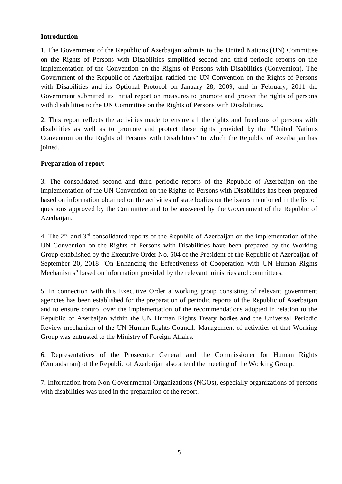### **Introduction**

1. The Government of the Republic of Azerbaijan submits to the United Nations (UN) Committee on the Rights of Persons with Disabilities simplified second and third periodic reports on the implementation of the Convention on the Rights of Persons with Disabilities (Convention). The Government of the Republic of Azerbaijan ratified the UN Convention on the Rights of Persons with Disabilities and its Optional Protocol on January 28, 2009, and in February, 2011 the Government submitted its initial report on measures to promote and protect the rights of persons with disabilities to the UN Committee on the Rights of Persons with Disabilities.

2. This report reflects the activities made to ensure all the rights and freedoms of persons with disabilities as well as to promote and protect these rights provided by the "United Nations Convention on the Rights of Persons with Disabilities" to which the Republic of Azerbaijan has joined.

### **Preparation of report**

3. The consolidated second and third periodic reports of the Republic of Azerbaijan on the implementation of the UN Convention on the Rights of Persons with Disabilities has been prepared based on information obtained on the activities of state bodies on the issues mentioned in the list of questions approved by the Committee and to be answered by the Government of the Republic of Azerbaijan.

4. The 2nd and 3rd consolidated reports of the Republic of Azerbaijan on the implementation of the UN Convention on the Rights of Persons with Disabilities have been prepared by the Working Group established by the Executive Order No. 504 of the President of the Republic of Azerbaijan of September 20, 2018 "On Enhancing the Effectiveness of Cooperation with UN Human Rights Mechanisms" based on information provided by the relevant ministries and committees.

5. In connection with this Executive Order a working group consisting of relevant government agencies has been established for the preparation of periodic reports of the Republic of Azerbaijan and to ensure control over the implementation of the recommendations adopted in relation to the Republic of Azerbaijan within the UN Human Rights Treaty bodies and the Universal Periodic Review mechanism of the UN Human Rights Council. Management of activities of that Working Group was entrusted to the Ministry of Foreign Affairs.

6. Representatives of the Prosecutor General and the Commissioner for Human Rights (Ombudsman) of the Republic of Azerbaijan also attend the meeting of the Working Group.

7. Information from Non-Governmental Organizations (NGOs), especially organizations of persons with disabilities was used in the preparation of the report.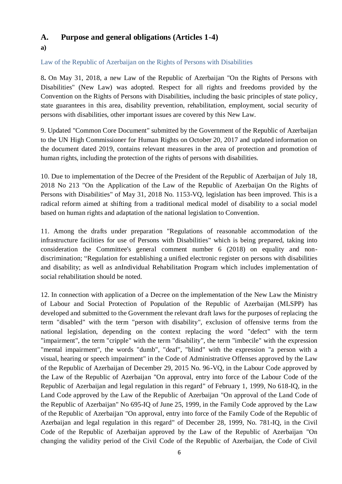# **A. Purpose and general obligations (Articles 1-4)**

### **a)**

Law of the Republic of Azerbaijan on the Rights of Persons with Disabilities

8**.** On May 31, 2018, a new Law of the Republic of Azerbaijan "On the Rights of Persons with Disabilities" (New Law) was adopted. Respect for all rights and freedoms provided by the Convention on the Rights of Persons with Disabilities, including the basic principles of state policy, state guarantees in this area, disability prevention, rehabilitation, employment, social security of persons with disabilities, other important issues are covered by this New Law.

9. Updated "Common Core Document" submitted by the Government of the Republic of Azerbaijan to the UN High Commissioner for Human Rights on October 20, 2017 and updated information on the document dated 2019, contains relevant measures in the area of protection and promotion of human rights, including the protection of the rights of persons with disabilities.

10. Due to implementation of the Decree of the President of the Republic of Azerbaijan of July 18, 2018 No 213 "On the Application of the Law of the Republic of Azerbaijan On the Rights of Persons with Disabilities" of May 31, 2018 No. 1153-VQ, legislation has been improved. This is a radical reform aimed at shifting from a traditional medical model of disability to a social model based on human rights and adaptation of the national legislation to Convention.

11. Among the drafts under preparation "Regulations of reasonable accommodation of the infrastructure facilities for use of Persons with Disabilities" which is being prepared, taking into consideration the Committee's general comment number 6 (2018) on equality and nondiscrimination; "Regulation for establishing a unified electronic register on persons with disabilities and disability; as well as anIndividual Rehabilitation Program which includes implementation of social rehabilitation should be noted.

12. In connection with application of a Decree on the implementation of the New Law the Ministry of Labour and Social Protection of Population of the Republic of Azerbaijan (MLSPP) has developed and submitted to the Government the relevant draft laws for the purposes of replacing the term "disabled" with the term "person with disability", exclusion of offensive terms from the national legislation, depending on the context replacing the word "defect" with the term "impairment", the term "cripple" with the term "disability", the term "imbecile" with the expression "mental impairment", the words "dumb", "deaf", "blind" with the expression "a person with a visual, hearing or speech impairment" in the Code of Administrative Offenses approved by the Law of the Republic of Azerbaijan of December 29, 2015 No. 96-VQ, in the Labour Code approved by the Law of the Republic of Azerbaijan "On approval, entry into force of the Labour Code of the Republic of Azerbaijan and legal regulation in this regard" of February 1, 1999, No 618-IQ, in the Land Code approved by the Law of the Republic of Azerbaijan "On approval of the Land Code of the Republic of Azerbaijan" No 695-IQ of June 25, 1999, in the Family Code approved by the Law of the Republic of Azerbaijan "On approval, entry into force of the Family Code of the Republic of Azerbaijan and legal regulation in this regard" of December 28, 1999, No. 781-IQ, in the Civil Code of the Republic of Azerbaijan approved by the Law of the Republic of Azerbaijan "On changing the validity period of the Civil Code of the Republic of Azerbaijan, the Code of Civil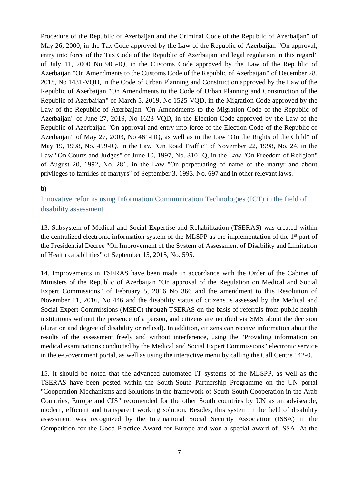Procedure of the Republic of Azerbaijan and the Criminal Code of the Republic of Azerbaijan" of May 26, 2000, in the Tax Code approved by the Law of the Republic of Azerbaijan "On approval, entry into force of the Tax Code of the Republic of Azerbaijan and legal regulation in this regard" of July 11, 2000 No 905-IQ, in the Customs Code approved by the Law of the Republic of Azerbaijan "On Amendments to the Customs Code of the Republic of Azerbaijan" of December 28, 2018, No 1431-VQD, in the Code of Urban Planning and Construction approved by the Law of the Republic of Azerbaijan "On Amendments to the Code of Urban Planning and Construction of the Republic of Azerbaijan" of March 5, 2019, No 1525-VQD, in the Migration Code approved by the Law of the Republic of Azerbaijan "On Amendments to the Migration Code of the Republic of Azerbaijan" of June 27, 2019, No 1623-VQD, in the Election Code approved by the Law of the Republic of Azerbaijan "On approval and entry into force of the Election Code of the Republic of Azerbaijan" of May 27, 2003, No 461-IIQ, as well as in the Law "On the Rights of the Child" of May 19, 1998, No. 499-IQ, in the Law "On Road Traffic" of November 22, 1998, No. 24, in the Law "On Courts and Judges" of June 10, 1997, No. 310-IQ, in the Law "On Freedom of Religion" of August 20, 1992, No. 281, in the Law "On perpetuating of name of the martyr and about privileges to families of martyrs" of September 3, 1993, No. 697 and in other relevant laws.

#### **b)**

Innovative reforms using Information Communication Technologies (ICT) in the field of disability assessment

13. Subsystem of Medical and Social Expertise and Rehabilitation (TSERAS) was created within the centralized electronic information system of the MLSPP as the implementation of the 1st part of the Presidential Decree "On Improvement of the System of Assessment of Disability and Limitation of Health capabilities" of September 15, 2015, No. 595.

14. Improvements in TSERAS have been made in accordance with the Order of the Cabinet of Ministers of the Republic of Azerbaijan "On approval of the Regulation on Medical and Social Expert Commissions" of February 5, 2016 No 366 and the amendment to this Resolution of November 11, 2016, No 446 and the disability status of citizens is assessed by the Medical and Social Expert Commissions (MSEC) through TSERAS on the basis of referrals from public health institutions without the presence of a person, and citizens are notified via SMS about the decision (duration and degree of disability or refusal). In addition, citizens can receive information about the results of the assessment freely and without interference, using the "Providing information on medical examinations conducted by the Medical and Social Expert Commissions" electronic service in the e-Government portal, as well as using the interactive menu by calling the Call Centre 142-0.

15. It should be noted that the advanced automated IT systems of the MLSPP, as well as the TSERAS have been posted within the South-South Partnership Programme on the UN portal "Cooperation Mechanisms and Solutions in the framework of South-South Cooperation in the Arab Countries, Europe and CIS" recomended for the other South countries by UN as an adviseable, modern, efficient and transparent working solution. Besides, this system in the field of disability assessment was recognized by the International Social Security Association (ISSA) in the Competition for the Good Practice Award for Europe and won a special award of ISSA. At the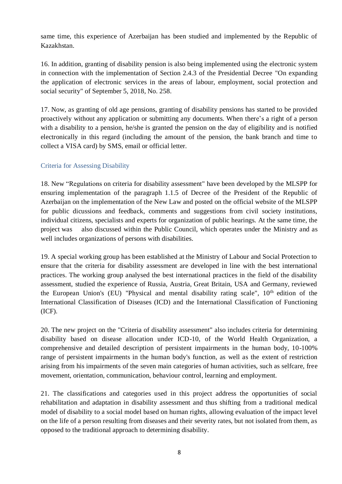same time, this experience of Azerbaijan has been studied and implemented by the Republic of Kazakhstan.

16. In addition, granting of disability pension is also being implemented using the electronic system in connection with the implementation of Section 2.4.3 of the Presidential Decree "On expanding the application of electronic services in the areas of labour, employment, social protection and social security" of September 5, 2018, No. 258.

17. Now, as granting of old age pensions, granting of disability pensions has started to be provided proactively without any application or submitting any documents. When there's a right of a person with a disability to a pension, he/she is granted the pension on the day of eligibility and is notified electronically in this regard (including the amount of the pension, the bank branch and time to collect a VISA card) by SMS, email or official letter.

### Criteria for Assessing Disability

18. New "Regulations on criteria for disability assessment" have been developed by the MLSPP for ensuring implementation of the paragraph 1.1.5 of Decree of the President of the Republic of Azerbaijan on the implementation of the New Law and posted on the official website of the MLSPP for public dicussions and feedback, comments and suggestions from civil society institutions, individual citizens, specialists and experts for organization of public hearings. At the same time, the project was also discussed within the Public Council, which operates under the Ministry and as well includes organizations of persons with disabilities.

19. A special working group has been established at the Ministry of Labour and Social Protection to ensure that the criteria for disability assessment are developed in line with the best international practices. The working group analysed the best international practices in the field of the disability assessment, studied the experience of Russia, Austria, Great Britain, USA and Germany, reviewed the European Union's (EU) "Physical and mental disability rating scale",  $10<sup>th</sup>$  edition of the International Classification of Diseases (ICD) and the International Classification of Functioning (ICF).

20. The new project on the "Criteria of disability assessment" also includes criteria for determining disability based on disease allocation under ICD-10, of the World Health Organization, a comprehensive and detailed description of persistent impairments in the human body, 10-100% range of persistent impairments in the human body's function, as well as the extent of restriction arising from his impairments of the seven main categories of human activities, such as selfcare, free movement, orientation, communication, behaviour control, learning and employment.

21. The classifications and categories used in this project address the opportunities of social rehabilitation and adaptation in disability assessment and thus shifting from a traditional medical model of disability to a social model based on human rights, allowing evaluation of the impact level on the life of a person resulting from diseases and their severity rates, but not isolated from them, as opposed to the traditional approach to determining disability.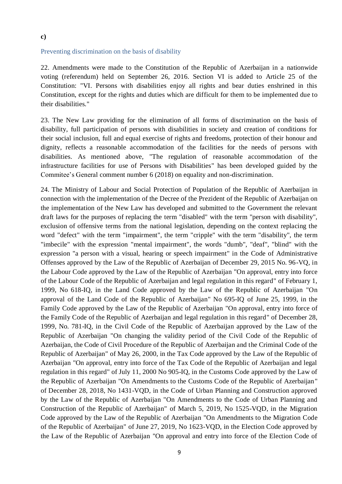#### **c)**

#### Preventing discrimination on the basis of disability

22. Amendments were made to the Constitution of the Republic of Azerbaijan in a nationwide voting (referendum) held on September 26, 2016. Section VI is added to Article 25 of the Constitution: "VI. Persons with disabilities enjoy all rights and bear duties enshrined in this Constitution, except for the rights and duties which are difficult for them to be implemented due to their disabilities."

23. The New Law providing for the elimination of all forms of discrimination on the basis of disability, full participation of persons with disabilities in society and creation of conditions for their social inclusion, full and equal exercise of rights and freedoms, protection of their honour and dignity, reflects a reasonable accommodation of the facilities for the needs of persons with disabilities. As mentioned above, "The regulation of reasonable accommodation of the infrastructure facilities for use of Persons with Disabilities" has been developed guided by the Commitee's General comment number 6 (2018) on equality and non-discrimination.

24. The Ministry of Labour and Social Protection of Population of the Republic of Azerbaijan in connection with the implementation of the Decree of the Prezident of the Republic of Azerbaijan on the implementation of the New Law has developed and submitted to the Government the relevant draft laws for the purposes of replacing the term "disabled" with the term "person with disability", exclusion of offensive terms from the national legislation, depending on the context replacing the word "defect" with the term "impairment", the term "cripple" with the term "disability", the term "imbecile" with the expression "mental impairment", the words "dumb", "deaf", "blind" with the expression "a person with a visual, hearing or speech impairment" in the Code of Administrative Offenses approved by the Law of the Republic of Azerbaijan of December 29, 2015 No. 96-VQ, in the Labour Code approved by the Law of the Republic of Azerbaijan "On approval, entry into force of the Labour Code of the Republic of Azerbaijan and legal regulation in this regard" of February 1, 1999, No 618-IQ, in the Land Code approved by the Law of the Republic of Azerbaijan "On approval of the Land Code of the Republic of Azerbaijan" No 695-IQ of June 25, 1999, in the Family Code approved by the Law of the Republic of Azerbaijan "On approval, entry into force of the Family Code of the Republic of Azerbaijan and legal regulation in this regard" of December 28, 1999, No. 781-IQ, in the Civil Code of the Republic of Azerbaijan approved by the Law of the Republic of Azerbaijan "On changing the validity period of the Civil Code of the Republic of Azerbaijan, the Code of Civil Procedure of the Republic of Azerbaijan and the Criminal Code of the Republic of Azerbaijan" of May 26, 2000, in the Tax Code approved by the Law of the Republic of Azerbaijan "On approval, entry into force of the Tax Code of the Republic of Azerbaijan and legal regulation in this regard" of July 11, 2000 No 905-IQ, in the Customs Code approved by the Law of the Republic of Azerbaijan "On Amendments to the Customs Code of the Republic of Azerbaijan" of December 28, 2018, No 1431-VQD, in the Code of Urban Planning and Construction approved by the Law of the Republic of Azerbaijan "On Amendments to the Code of Urban Planning and Construction of the Republic of Azerbaijan" of March 5, 2019, No 1525-VQD, in the Migration Code approved by the Law of the Republic of Azerbaijan "On Amendments to the Migration Code of the Republic of Azerbaijan" of June 27, 2019, No 1623-VQD, in the Election Code approved by the Law of the Republic of Azerbaijan "On approval and entry into force of the Election Code of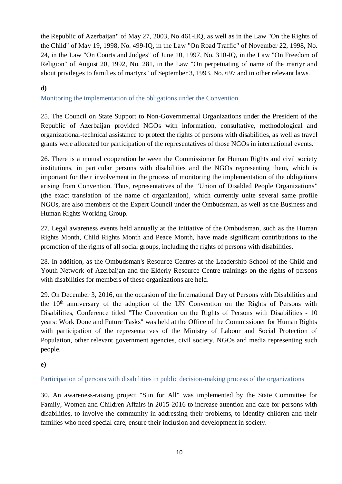the Republic of Azerbaijan" of May 27, 2003, No 461-IIQ, as well as in the Law "On the Rights of the Child" of May 19, 1998, No. 499-IQ, in the Law "On Road Traffic" of November 22, 1998, No. 24, in the Law "On Courts and Judges" of June 10, 1997, No. 310-IQ, in the Law "On Freedom of Religion" of August 20, 1992, No. 281, in the Law "On perpetuating of name of the martyr and about privileges to families of martyrs" of September 3, 1993, No. 697 and in other relevant laws.

### **d)**

Monitoring the implementation of the obligations under the Convention

25. The Council on State Support to Non-Governmental Organizations under the President of the Republic of Azerbaijan provided NGOs with information, consultative, methodological and organizational-technical assistance to protect the rights of persons with disabilities, as well as travel grants were allocated for participation of the representatives of those NGOs in international events.

26. There is a mutual cooperation between the Commissioner for Human Rights and civil society institutions, in particular persons with disabilities and the NGOs representing them, which is important for their involvement in the process of monitoring the implementation of the obligations arising from Convention. Thus, representatives of the "Union of Disabled People Organizations" (the exact translation of the name of organization), which currently unite several same profile NGOs, are also members of the Expert Council under the Ombudsman, as well as the Business and Human Rights Working Group.

27. Legal awareness events held annually at the initiative of the Ombudsman, such as the Human Rights Month, Child Rights Month and Peace Month, have made significant contributions to the promotion of the rights of all social groups, including the rights of persons with disabilities.

28. In addition, as the Ombudsman's Resource Centres at the Leadership School of the Child and Youth Network of Azerbaijan and the Elderly Resource Centre trainings on the rights of persons with disabilities for members of these organizations are held.

29. On December 3, 2016, on the occasion of the International Day of Persons with Disabilities and the 10th anniversary of the adoption of the UN Convention on the Rights of Persons with Disabilities, Conference titled "The Convention on the Rights of Persons with Disabilities - 10 years: Work Done and Future Tasks" was held at the Office of the Commissioner for Human Rights with participation of the representatives of the Ministry of Labour and Social Protection of Population, other relevant government agencies, civil society, NGOs and media representing such people.

### **e)**

### Participation of persons with disabilities in public decision-making process of the organizations

30. An awareness-raising project "Sun for All" was implemented by the State Committee for Family, Women and Children Affairs in 2015-2016 to increase attention and care for persons with disabilities, to involve the community in addressing their problems, to identify children and their families who need special care, ensure their inclusion and development in society.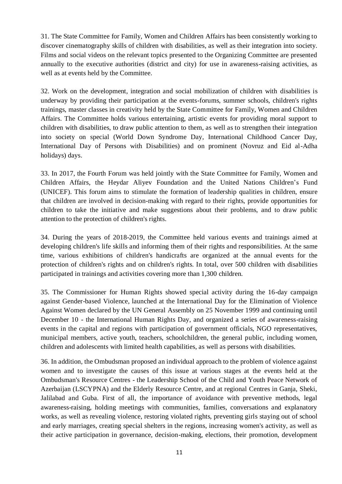31. The State Committee for Family, Women and Children Affairs has been consistently working to discover cinematography skills of children with disabilities, as well as their integration into society. Films and social videos on the relevant topics presented to the Organizing Committee are presented annually to the executive authorities (district and city) for use in awareness-raising activities, as well as at events held by the Committee.

32. Work on the development, integration and social mobilization of children with disabilities is underway by providing their participation at the events-forums, summer schools, children's rights trainings, master classes in creativity held by the State Committee for Family, Women and Children Affairs. The Committee holds various entertaining, artistic events for providing moral support to children with disabilities, to draw public attention to them, as well as to strengthen their integration into society on special (World Down Syndrome Day, International Childhood Cancer Day, International Day of Persons with Disabilities) and on prominent (Novruz and Eid al-Adha holidays) days.

33. In 2017, the Fourth Forum was held jointly with the State Committee for Family, Women and Children Affairs, the Heydar Aliyev Foundation and the United Nations Children's Fund (UNICEF). This forum aims to stimulate the formation of leadership qualities in children, ensure that children are involved in decision-making with regard to their rights, provide opportunities for children to take the initiative and make suggestions about their problems, and to draw public attention to the protection of children's rights.

34. During the years of 2018-2019, the Committee held various events and trainings aimed at developing children's life skills and informing them of their rights and responsibilities. At the same time, various exhibitions of children's handicrafts are organized at the annual events for the protection of children's rights and on children's rights. In total, over 500 children with disabilities participated in trainings and activities covering more than 1,300 children.

35. The Commissioner for Human Rights showed special activity during the 16-day campaign against Gender-based Violence, launched at the International Day for the Elimination of Violence Against Women declared by the UN General Assembly on 25 November 1999 and continuing until December 10 - the International Human Rights Day, and organized a series of awareness-raising events in the capital and regions with participation of government officials, NGO representatives, municipal members, active youth, teachers, schoolchildren, the general public, including women, children and adolescents with limited health capabilities, as well as persons with disabilities.

36. In addition, the Ombudsman proposed an individual approach to the problem of violence against women and to investigate the causes of this issue at various stages at the events held at the Ombudsman's Resource Centres - the Leadership School of the Child and Youth Peace Network of Azerbaijan (LSCYPNA) and the Elderly Resource Centre, and at regional Centres in Ganja, Sheki, Jalilabad and Guba. First of all, the importance of avoidance with preventive methods, legal awareness-raising, holding meetings with communities, families, conversations and explanatory works, as well as revealing violence, restoring violated rights, preventing girls staying out of school and early marriages, creating special shelters in the regions, increasing women's activity, as well as their active participation in governance, decision-making, elections, their promotion, development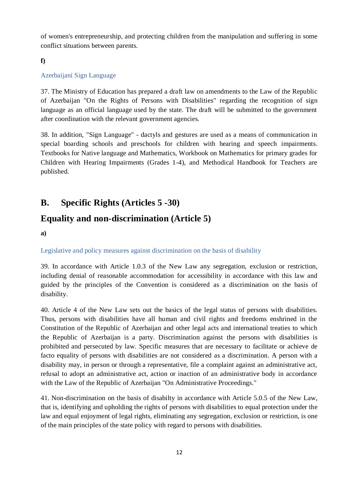of women's entrepreneurship, and protecting children from the manipulation and suffering in some conflict situations between parents.

### **f)**

### Azerbaijani Sign Language

37. The Ministry of Education has prepared a draft law on amendments to the Law of the Republic of Azerbaijan "On the Rights of Persons with Disabilities" regarding the recognition of sign language as an official language used by the state. The draft will be submitted to the government after coordination with the relevant government agencies.

38. In addition, "Sign Language" - dactyls and gestures are used as a means of communication in special boarding schools and preschools for children with hearing and speech impairments. Textbooks for Native language and Mathematics, Workbook on Mathematics for primary grades for Children with Hearing Impairments (Grades 1-4), and Methodical Handbook for Teachers are published.

## **B. Specific Rights (Articles 5 -30)**

## **Equality and non-discrimination (Article 5)**

**a)**

### Legislative and policy measures against discrimination on the basis of disability

39. In accordance with Article 1.0.3 of the New Law any segregation, exclusion or restriction, including denial of reasonable accommodation for accessibility in accordance with this law and guided by the principles of the Convention is considered as a discrimination on the basis of disability.

40. Article 4 of the New Law sets out the basics of the legal status of persons with disabilities. Thus, persons with disabilities have all human and civil rights and freedoms enshrined in the Constitution of the Republic of Azerbaijan and other legal acts and international treaties to which the Republic of Azerbaijan is a party. Discrimination against the persons with disabilities is prohibited and persecuted by law. Specific measures that are necessary to facilitate or achieve de facto equality of persons with disabilities are not considered as a discrimination. A person with a disability may, in person or through a representative, file a complaint against an administrative act, refusal to adopt an administrative act, action or inaction of an administrative body in accordance with the Law of the Republic of Azerbaijan "On Administrative Proceedings."

41. Non-discrimination on the basis of disabilty in accordance with Article 5.0.5 of the New Law, that is, identifying and upholding the rights of persons with disabilities to equal protection under the law and equal enjoyment of legal rights, eliminating any segregation, exclusion or restriction, is one of the main principles of the state policy with regard to persons with disabilities.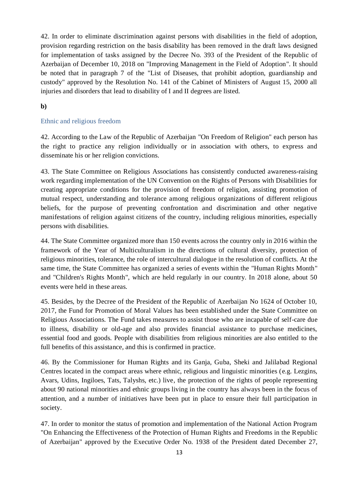42. In order to eliminate discrimination against persons with disabilities in the field of adoption, provision regarding restriction on the basis disability has been removed in the draft laws designed for implementation of tasks assigned by the Decree No. 393 of the President of the Republic of Azerbaijan of December 10, 2018 on "Improving Management in the Field of Adoption". It should be noted that in paragraph 7 of the "List of Diseases, that prohibit adoption, guardianship and custody" approved by the Resolution No. 141 of the Cabinet of Ministers of August 15, 2000 all injuries and disorders that lead to disability of I and II degrees are listed.

### **b)**

### Ethnic and religious freedom

42. According to the Law of the Republic of Azerbaijan "On Freedom of Religion" each person has the right to practice any religion individually or in association with others, to express and disseminate his or her religion convictions.

43. The State Committee on Religious Associations has consistently conducted awareness-raising work regarding implementation of the UN Convention on the Rights of Persons with Disabilities for creating appropriate conditions for the provision of freedom of religion, assisting promotion of mutual respect, understanding and tolerance among religious organizations of different religious beliefs, for the purpose of preventing confrontation and discrimination and other negative manifestations of religion against citizens of the country, including religious minorities, especially persons with disabilities.

44. The State Committee organized more than 150 events across the country only in 2016 within the framework of the Year of Multiculturalism in the directions of cultural diversity, protection of religious minorities, tolerance, the role of intercultural dialogue in the resolution of conflicts. At the same time, the State Committee has organized a series of events within the "Human Rights Month" and "Children's Rights Month", which are held regularly in our country. In 2018 alone, about 50 events were held in these areas.

45. Besides, by the Decree of the President of the Republic of Azerbaijan No 1624 of October 10, 2017, the Fund for Promotion of Moral Values has been established under the State Committee on Religious Associations. The Fund takes measures to assist those who are incapable of self-care due to illness, disability or old-age and also provides financial assistance to purchase medicines, essential food and goods. People with disabilities from religious minorities are also entitled to the full benefits of this assistance, and this is confirmed in practice.

46. By the Commissioner for Human Rights and its Ganja, Guba, Sheki and Jalilabad Regional Centres located in the compact areas where ethnic, religious and linguistic minorities (e.g. Lezgins, Avars, Udins, Ingiloes, Tats, Talyshs, etc.) live, the protection of the rights of people representing about 90 national minorities and ethnic groups living in the country has always been in the focus of attention, and a number of initiatives have been put in place to ensure their full participation in society.

47. In order to monitor the status of promotion and implementation of the National Action Program "On Enhancing the Effectiveness of the Protection of Human Rights and Freedoms in the Republic of Azerbaijan" approved by the Executive Order No. 1938 of the President dated December 27,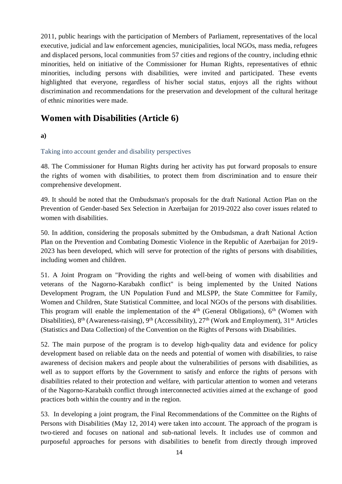2011, public hearings with the participation of Members of Parliament, representatives of the local executive, judicial and law enforcement agencies, municipalities, local NGOs, mass media, refugees and displaced persons, local communities from 57 cities and regions of the country, including ethnic minorities, held on initiative of the Commissioner for Human Rights, representatives of ethnic minorities, including persons with disabilities, were invited and participated. These events highlighted that everyone, regardless of his/her social status, enjoys all the rights without discrimination and recommendations for the preservation and development of the cultural heritage of ethnic minorities were made.

### **Women with Disabilities (Article 6)**

### **a)**

### Taking into account gender and disability perspectives

48. The Commissioner for Human Rights during her activity has put forward proposals to ensure the rights of women with disabilities, to protect them from discrimination and to ensure their comprehensive development.

49. It should be noted that the Ombudsman's proposals for the draft National Action Plan on the Prevention of Gender-based Sex Selection in Azerbaijan for 2019-2022 also cover issues related to women with disabilities.

50. In addition, considering the proposals submitted by the Ombudsman, a draft National Action Plan on the Prevention and Combating Domestic Violence in the Republic of Azerbaijan for 2019- 2023 has been developed, which will serve for protection of the rights of persons with disabilities, including women and children.

51. A Joint Program on "Providing the rights and well-being of women with disabilities and veterans of the Nagorno-Karabakh conflict" is being implemented by the United Nations Development Program, the UN Population Fund and MLSPP, the State Committee for Family, Women and Children, State Statistical Committee, and local NGOs of the persons with disabilities. This program will enable the implementation of the  $4<sup>th</sup>$  (General Obligations),  $6<sup>th</sup>$  (Women with Disabilities), 8<sup>th</sup> (Awareness-raising), 9<sup>th</sup> (Accessibility), 27<sup>th</sup> (Work and Employment), 31<sup>st</sup> Articles (Statistics and Data Collection) of the Convention on the Rights of Persons with Disabilities.

52. The main purpose of the program is to develop high-quality data and evidence for policy development based on reliable data on the needs and potential of women with disabilities, to raise awareness of decision makers and people about the vulnerabilities of persons with disabilities, as well as to support efforts by the Government to satisfy and enforce the rights of persons with disabilities related to their protection and welfare, with particular attention to women and veterans of the Nagorno-Karabakh conflict through interconnected activities aimed at the exchange of good practices both within the country and in the region.

53. In developing a joint program, the Final Recommendations of the Committee on the Rights of Persons with Disabilities (May 12, 2014) were taken into account. The approach of the program is two-tiered and focuses on national and sub-national levels. It includes use of common and purposeful approaches for persons with disabilities to benefit from directly through improved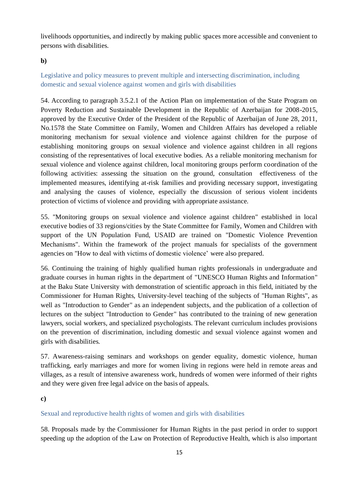livelihoods opportunities, and indirectly by making public spaces more accessible and convenient to persons with disabilities.

### **b)**

### Legislative and policy measures to prevent multiple and intersecting discrimination, including domestic and sexual violence against women and girls with disabilities

54. According to paragraph 3.5.2.1 of the Action Plan on implementation of the State Program on Poverty Reduction and Sustainable Development in the Republic of Azerbaijan for 2008-2015, approved by the Executive Order of the President of the Republic of Azerbaijan of June 28, 2011, No.1578 the State Committee on Family, Women and Children Affairs has developed a reliable monitoring mechanism for sexual violence and violence against children for the purpose of establishing monitoring groups on sexual violence and violence against children in all regions consisting of the representatives of local executive bodies. As a reliable monitoring mechanism for sexual violence and violence against children, local monitoring groups perform coordination of the following activities: assessing the situation on the ground, consultation effectiveness of the implemented measures, identifying at-risk families and providing necessary support, investigating and analysing the causes of violence, especially the discussion of serious violent incidents protection of victims of violence and providing with appropriate assistance.

55. "Monitoring groups on sexual violence and violence against children" established in local executive bodies of 33 regions/cities by the State Committee for Family, Women and Children with support of the UN Population Fund, USAID are trained on "Domestic Violence Prevention Mechanisms". Within the framework of the project manuals for specialists of the government agencies on "How to deal with victims of domestic violence' were also prepared.

56. Continuing the training of highly qualified human rights professionals in undergraduate and graduate courses in human rights in the department of "UNESCO Human Rights and Information" at the Baku State University with demonstration of scientific approach in this field, initiated by the Commissioner for Human Rights, University-level teaching of the subjects of "Human Rights", as well as "Introduction to Gender" as an independent subjects, and the publication of a collection of lectures on the subject "Introduction to Gender" has contributed to the training of new generation lawyers, social workers, and specialized psychologists. The relevant curriculum includes provisions on the prevention of discrimination, including domestic and sexual violence against women and girls with disabilities.

57. Awareness-raising seminars and workshops on gender equality, domestic violence, human trafficking, early marriages and more for women living in regions were held in remote areas and villages, as a result of intensive awareness work, hundreds of women were informed of their rights and they were given free legal advice on the basis of appeals.

### **c)**

### Sexual and reproductive health rights of women and girls with disabilities

58. Proposals made by the Commissioner for Human Rights in the past period in order to support speeding up the adoption of the Law on Protection of Reproductive Health, which is also important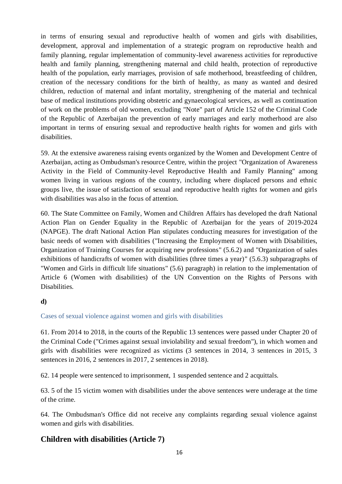in terms of ensuring sexual and reproductive health of women and girls with disabilities, development, approval and implementation of a strategic program on reproductive health and family planning, regular implementation of community-level awareness activities for reproductive health and family planning, strengthening maternal and child health, protection of reproductive health of the population, early marriages, provision of safe motherhood, breastfeeding of children, creation of the necessary conditions for the birth of healthy, as many as wanted and desired children, reduction of maternal and infant mortality, strengthening of the material and technical base of medical institutions providing obstetric and gynaecological services, as well as continuation of work on the problems of old women, excluding "Note" part of Article 152 of the Criminal Code of the Republic of Azerbaijan the prevention of early marriages and early motherhood are also important in terms of ensuring sexual and reproductive health rights for women and girls with disabilities.

59. At the extensive awareness raising events organized by the Women and Development Centre of Azerbaijan, acting as Ombudsman's resource Centre, within the project "Organization of Awareness Activity in the Field of Community-level Reproductive Health and Family Planning" among women living in various regions of the country, including where displaced persons and ethnic groups live, the issue of satisfaction of sexual and reproductive health rights for women and girls with disabilities was also in the focus of attention.

60. The State Committee on Family, Women and Children Affairs has developed the draft National Action Plan on Gender Equality in the Republic of Azerbaijan for the years of 2019-2024 (NAPGE). The draft National Action Plan stipulates conducting measures for investigation of the basic needs of women with disabilities ("Increasing the Employment of Women with Disabilities, Organization of Training Courses for acquiring new professions" (5.6.2) and "Organization of sales exhibitions of handicrafts of women with disabilities (three times a year)" (5.6.3) subparagraphs of "Women and Girls in difficult life situations" (5.6) paragraph) in relation to the implementation of Article 6 (Women with disabilities) of the UN Convention on the Rights of Persons with Disabilities.

### **d)**

### Cases of sexual violence against women and girls with disabilities

61. From 2014 to 2018, in the courts of the Republic 13 sentences were passed under Chapter 20 of the Criminal Code ("Crimes against sexual inviolability and sexual freedom"), in which women and girls with disabilities were recognized as victims (3 sentences in 2014, 3 sentences in 2015, 3 sentences in 2016, 2 sentences in 2017, 2 sentences in 2018).

62. 14 people were sentenced to imprisonment, 1 suspended sentence and 2 acquittals.

63. 5 of the 15 victim women with disabilities under the above sentences were underage at the time of the crime.

64. The Ombudsman's Office did not receive any complaints regarding sexual violence against women and girls with disabilities.

### **Children with disabilities (Article 7)**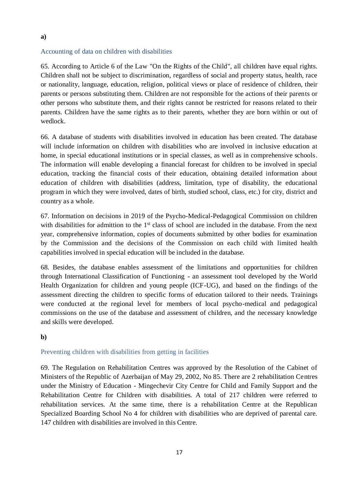#### Accounting of data on children with disabilities

65. According to Article 6 of the Law "On the Rights of the Child", all children have equal rights. Children shall not be subject to discrimination, regardless of social and property status, health, race or nationality, language, education, religion, political views or place of residence of children, their parents or persons substituting them. Children are not responsible for the actions of their parents or other persons who substitute them, and their rights cannot be restricted for reasons related to their parents. Children have the same rights as to their parents, whether they are born within or out of wedlock.

66. A database of students with disabilities involved in education has been created. The database will include information on children with disabilities who are involved in inclusive education at home, in special educational institutions or in special classes, as well as in comprehensive schools. The information will enable developing a financial forecast for children to be involved in special education, tracking the financial costs of their education, obtaining detailed information about education of children with disabilities (address, limitation, type of disability, the educational program in which they were involved, dates of birth, studied school, class, etc.) for city, district and country as a whole.

67. Information on decisions in 2019 of the Psycho-Medical-Pedagogical Commission on children with disabilities for admittion to the 1<sup>st</sup> class of school are included in the database. From the next year, comprehensive information, copies of documents submitted by other bodies for examination by the Commission and the decisions of the Commission on each child with limited health capabilities involved in special education will be included in the database.

68. Besides, the database enables assessment of the limitations and opportunities for children through International Classification of Functioning - an assessment tool developed by the World Health Organization for children and young people (ICF-UG), and based on the findings of the assessment directing the children to specific forms of education tailored to their needs. Trainings were conducted at the regional level for members of local psycho-medical and pedagogical commissions on the use of the database and assessment of children, and the necessary knowledge and skills were developed.

#### **b)**

#### Preventing children with disabilities from getting in facilities

69. The Regulation on Rehabilitation Centres was approved by the Resolution of the Cabinet of Ministers of the Republic of Azerbaijan of May 29, 2002, No 85. There are 2 rehabilitation Centres under the Ministry of Education - Mingechevir City Centre for Child and Family Support and the Rehabilitation Centre for Children with disabilities. A total of 217 children were referred to rehabilitation services. At the same time, there is a rehabilitation Centre at the Republican Specialized Boarding School No 4 for children with disabilities who are deprived of parental care. 147 children with disabilities are involved in this Centre.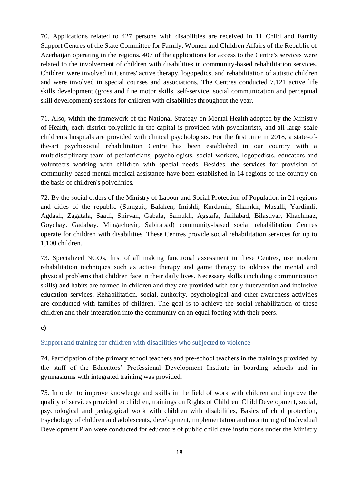70. Applications related to 427 persons with disabilities are received in 11 Child and Family Support Centres of the State Committee for Family, Women and Children Affairs of the Republic of Azerbaijan operating in the regions. 407 of the applications for access to the Centre's services were related to the involvement of children with disabilities in community-based rehabilitation services. Children were involved in Centres' active therapy, logopedics, and rehabilitation of autistic children and were involved in special courses and associations. The Centres conducted 7,121 active life skills development (gross and fine motor skills, self-service, social communication and perceptual skill development) sessions for children with disabilities throughout the year.

71. Also, within the framework of the National Strategy on Mental Health adopted by the Ministry of Health, each district polyclinic in the capital is provided with psychiatrists, and all large-scale children's hospitals are provided with clinical psychologists. For the first time in 2018, a state-ofthe-art psychosocial rehabilitation Centre has been established in our country with a multidisciplinary team of pediatricians, psychologists, social workers, logopedists, educators and volunteers working with children with special needs. Besides, the services for provision of community-based mental medical assistance have been established in 14 regions of the country on the basis of children's polyclinics.

72. By the social orders of the Ministry of Labour and Social Protection of Population in 21 regions and cities of the republic (Sumgait, Balaken, Imishli, Kurdamir, Shamkir, Masalli, Yardimli, Agdash, Zagatala, Saatli, Shirvan, Gabala, Samukh, Agstafa, Jalilabad, Bilasuvar, Khachmaz, Goychay, Gadabay, Mingachevir, Sabirabad) community-based social rehabilitation Centres operate for children with disabilities. These Centres provide social rehabilitation services for up to 1,100 children.

73. Specialized NGOs, first of all making functional assessment in these Centres, use modern rehabilitation techniques such as active therapy and game therapy to address the mental and physical problems that children face in their daily lives. Necessary skills (including communication skills) and habits are formed in children and they are provided with early intervention and inclusive education services. Rehabilitation, social, authority, psychological and other awareness activities are conducted with families of children. The goal is to achieve the social rehabilitation of these children and their integration into the community on an equal footing with their peers.

#### **c)**

### Support and training for children with disabilities who subjected to violence

74. Participation of the primary school teachers and pre-school teachers in the trainings provided by the staff of the Educators' Professional Development Institute in boarding schools and in gymnasiums with integrated training was provided.

75. In order to improve knowledge and skills in the field of work with children and improve the quality of services provided to children, trainings on Rights of Children, Child Development, social, psychological and pedagogical work with children with disabilities, Basics of child protection, Psychology of children and adolescents, development, implementation and monitoring of Individual Development Plan were conducted for educators of public child care institutions under the Ministry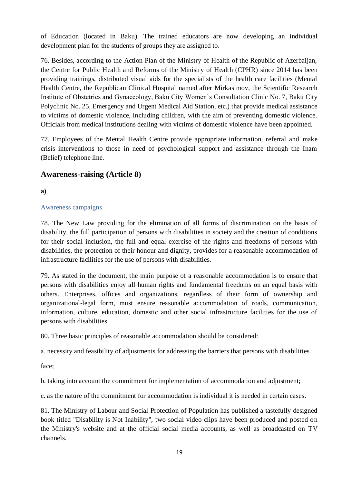of Education (located in Baku). The trained educators are now developing an individual development plan for the students of groups they are assigned to.

76. Besides, according to the Action Plan of the Ministry of Health of the Republic of Azerbaijan, the Centre for Public Health and Reforms of the Ministry of Health (CPHR) since 2014 has been providing trainings, distributed visual aids for the specialists of the health care facilities (Mental Health Centre, the Republican Clinical Hospital named after Mirkasimov, the Scientific Research Institute of Obstetrics and Gynaecology, Baku City Women's Consultation Clinic No. 7, Baku City Polyclinic No. 25, Emergency and Urgent Medical Aid Station, etc.) that provide medical assistance to victims of domestic violence, including children, with the aim of preventing domestic violence. Officials from medical institutions dealing with victims of domestic violence have been appointed.

77. Employees of the Mental Health Centre provide appropriate information, referral and make crisis interventions to those in need of psychological support and assistance through the Inam (Belief) telephone line.

### **Awareness-raising (Article 8)**

### **a)**

### Awareness campaigns

78. The New Law providing for the elimination of all forms of discrimination on the basis of disability, the full participation of persons with disabilities in society and the creation of conditions for their social inclusion, the full and equal exercise of the rights and freedoms of persons with disabilities, the protection of their honour and dignity, provides for a reasonable accommodation of infrastructure facilities for the use of persons with disabilities.

79. As stated in the document, the main purpose of a reasonable accommodation is to ensure that persons with disabilities enjoy all human rights and fundamental freedoms on an equal basis with others. Enterprises, offices and organizations, regardless of their form of ownership and organizational-legal form, must ensure reasonable accommodation of roads, communication, information, culture, education, domestic and other social infrastructure facilities for the use of persons with disabilities.

80. Three basic principles of reasonable accommodation should be considered:

a. necessity and feasibility of adjustments for addressing the barriers that persons with disabilities

face;

b. taking into account the commitment for implementation of accommodation and adjustment;

c. as the nature of the commitment for accommodation is individual it is needed in certain cases.

81. The Ministry of Labour and Social Protection of Population has published a tastefully designed book titled "Disability is Not Inability", two social video clips have been produced and posted on the Ministry's website and at the official social media accounts, as well as broadcasted on TV channels.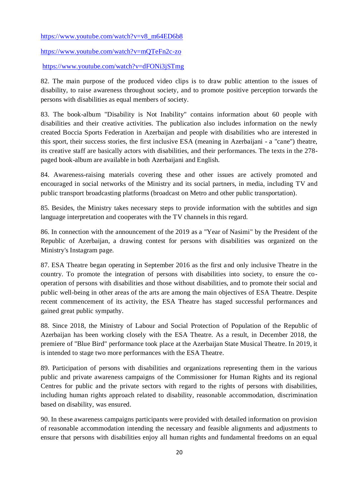[https://www.youtube.com/watch?v=v8\\_m64ED6b8](https://www.youtube.com/watch?v=v8_m64ED6b8)

<https://www.youtube.com/watch?v=mQTeFn2c-zo>

<https://www.youtube.com/watch?v=dFONi3jSTmg>

82. The main purpose of the produced video clips is to draw public attention to the issues of disability, to raise awareness throughout society, and to promote positive perception torwards the persons with disabilities as equal members of society.

83. The book-album "Disability is Not Inability" contains information about 60 people with disabilities and their creative activities. The publication also includes information on the newly created Boccia Sports Federation in Azerbaijan and people with disabilities who are interested in this sport, their success stories, the first inclusive ESA (meaning in Azerbaijani - a "cane") theatre, its creative staff are basically actors with disabilities, and their performances. The texts in the 278 paged book-album are available in both Azerbaijani and English.

84. Awareness-raising materials covering these and other issues are actively promoted and encouraged in social networks of the Ministry and its social partners, in media, including TV and public transport broadcasting platforms (broadcast on Metro and other public transportation).

85. Besides, the Ministry takes necessary steps to provide information with the subtitles and sign language interpretation and cooperates with the TV channels in this regard.

86. In connection with the announcement of the 2019 as a "Year of Nasimi" by the President of the Republic of Azerbaijan, a drawing contest for persons with disabilities was organized on the Ministry's Instagram page.

87. ESA Theatre began operating in September 2016 as the first and only inclusive Theatre in the country. To promote the integration of persons with disabilities into society, to ensure the cooperation of persons with disabilities and those without disabilities, and to promote their social and public well-being in other areas of the arts are among the main objectives of ESA Theatre. Despite recent commencement of its activity, the ESA Theatre has staged successful performances and gained great public sympathy.

88. Since 2018, the Ministry of Labour and Social Protection of Population of the Republic of Azerbaijan has been working closely with the ESA Theatre. As a result, in December 2018, the premiere of "Blue Bird" performance took place at the Azerbaijan State Musical Theatre. In 2019, it is intended to stage two more performances with the ESA Theatre.

89. Participation of persons with disabilities and organizations representing them in the various public and private awareness campaigns of the Commissioner for Human Rights and its regional Centres for public and the private sectors with regard to the rights of persons with disabilities, including human rights approach related to disability, reasonable accommodation, discrimination based on disability, was ensured.

90. In these awareness campaigns participants were provided with detailed information on provision of reasonable accommodation intending the necessary and feasible alignments and adjustments to ensure that persons with disabilities enjoy all human rights and fundamental freedoms on an equal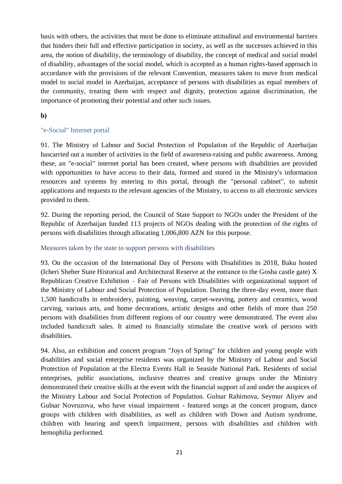basis with others, the activities that must be done to eliminate attitudinal and environmental barriers that hinders their full and effective participation in society, as well as the successes achieved in this area, the notion of disability, the terminology of disability, the concept of medical and social model of disability, advantages of the social model, which is accepted as a human rights-based approach in accordance with the provisions of the relevant Convention, measures taken to move from medical model to social model in Azerbaijan, acceptance of persons with disabilities as equal members of the community, treating them with respect and dignity, protection against discrimination, the importance of promoting their potential and other such issues.

### **b)**

### "e-Social" Internet portal

91. The Ministry of Labour and Social Protection of Population of the Republic of Azerbaijan hascarried out a number of activities in the field of awareness-raising and public awareness. Among these, an "e-social" internet portal has been created, where persons with disabilities are provided with opportunities to have access to their data, formed and stored in the Ministry's information resources and systems by entering to this portal, through the "personal cabinet", to submit applications and requests to the relevant agencies of the Ministry, to access to all electronic services provided to them.

92. During the reporting period, the Council of State Support to NGOs under the President of the Republic of Azerbaijan funded 113 projects of NGOs dealing with the protection of the rights of persons with disabilities through allocating 1,006,800 AZN for this purpose.

### Measures taken by the state to support persons with disabilities

93. On the occasion of the International Day of Persons with Disabilities in 2018, Baku hosted (Icheri Sheher State Historical and Architectural Reserve at the entrance to the Gosha castle gate) X Republican Creative Exhibition – Fair of Persons with Disabilities with organizational support of the Ministry of Labour and Social Protection of Population. During the three-day event, more than 1,500 handicrafts in embroidery, painting, weaving, carpet-weaving, pottery and ceramics, wood carving, various arts, and home decorations, artistic designs and other fields of more than 250 persons with disabilities from different regions of our country were demonstrated. The event also included handicraft sales. It aimed to financially stimulate the creative work of persons with disabilities.

94. Also, an exhibition and concert program "Joys of Spring" for children and young people with disabilities and social enterprise residents was organized by the Ministry of Labour and Social Protection of Population at the Electra Events Hall in Seaside National Park. Residents of social enterprises, public associations, inclusive theatres and creative groups under the Ministry demonstrated their creative skills at the event with the financial support of and under the auspices of the Ministry Labour and Social Protection of Population. Gulnar Rahimova, Seymur Aliyev and Gulnar Novruzova, who have visual impairment - featured songs at the concert program, dance groups with children with disabilities, as well as children with Down and Autism syndrome, children with hearing and speech impairment, persons with disabilities and children with hemophilia performed.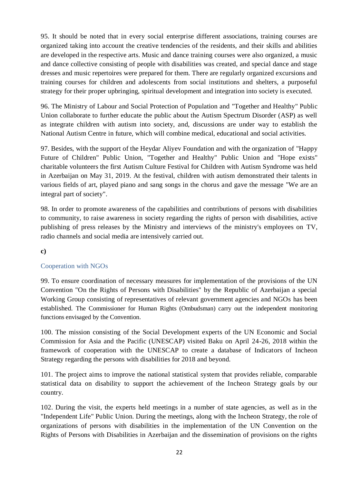95. It should be noted that in every social enterprise different associations, training courses are organized taking into account the creative tendencies of the residents, and their skills and abilities are developed in the respective arts. Music and dance training courses were also organized, a music and dance collective consisting of people with disabilities was created, and special dance and stage dresses and music repertoires were prepared for them. There are regularly organized excursions and training courses for children and adolescents from social institutions and shelters, a purposeful strategy for their proper upbringing, spiritual development and integration into society is executed.

96. The Ministry of Labour and Social Protection of Population and "Together and Healthy" Public Union collaborate to further educate the public about the Autism Spectrum Disorder (ASP) as well as integrate children with autism into society, and, discussions are under way to establish the National Autism Centre in future, which will combine medical, educational and social activities.

97. Besides, with the support of the Heydar Aliyev Foundation and with the organization of "Happy Future of Children" Public Union, "Together and Healthy" Public Union and "Hope exists" charitable volunteers the first Autism Culture Festival for Children with Autism Syndrome was held in Azerbaijan on May 31, 2019. At the festival, children with autism demonstrated their talents in various fields of art, played piano and sang songs in the chorus and gave the message "We are an integral part of society".

98. In order to promote awareness of the capabilities and contributions of persons with disabilities to community, to raise awareness in society regarding the rights of person with disabilities, active publishing of press releases by the Ministry and interviews of the ministry's employees on TV, radio channels and social media are intensively carried out.

### **c)**

### Cooperation with NGOs

99. To ensure coordination of necessary measures for implementation of the provisions of the UN Convention "On the Rights of Persons with Disabilities" by the Republic of Azerbaijan a special Working Group consisting of representatives of relevant government agencies and NGOs has been established. The Commissioner for Human Rights (Ombudsman) carry out the independent monitoring functions envisaged by the Convention.

100. The mission consisting of the Social Development experts of the UN Economic and Social Commission for Asia and the Pacific (UNESCAP) visited Baku on April 24-26, 2018 within the framework of cooperation with the UNESCAP to create a database of Indicators of Incheon Strategy regarding the persons with disabilities for 2018 and beyond.

101. The project aims to improve the national statistical system that provides reliable, comparable statistical data on disability to support the achievement of the Incheon Strategy goals by our country.

102. During the visit, the experts held meetings in a number of state agencies, as well as in the "Independent Life" Public Union. During the meetings, along with the Incheon Strategy, the role of organizations of persons with disabilities in the implementation of the UN Convention on the Rights of Persons with Disabilities in Azerbaijan and the dissemination of provisions on the rights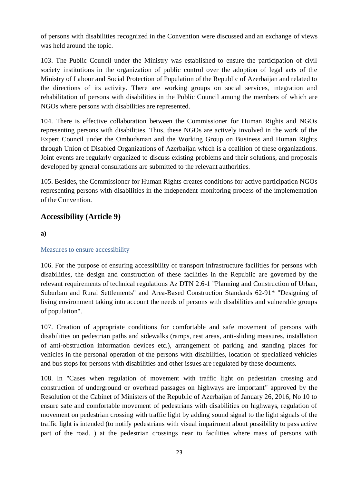of persons with disabilities recognized in the Convention were discussed and an exchange of views was held around the topic.

103. The Public Council under the Ministry was established to ensure the participation of civil society institutions in the organization of public control over the adoption of legal acts of the Ministry of Labour and Social Protection of Population of the Republic of Azerbaijan and related to the directions of its activity. There are working groups on social services, integration and rehabilitation of persons with disabilities in the Public Council among the members of which are NGOs where persons with disabilities are represented.

104. There is effective collaboration between the Commissioner for Human Rights and NGOs representing persons with disabilities. Thus, these NGOs are actively involved in the work of the Expert Council under the Ombudsman and the Working Group on Business and Human Rights through Union of Disabled Organizations of Azerbaijan which is a coalition of these organizations. Joint events are regularly organized to discuss existing problems and their solutions, and proposals developed by general consultations are submitted to the relevant authorities.

105. Besides, the Commissioner for Human Rights creates conditions for active participation NGOs representing persons with disabilities in the independent monitoring process of the implementation of the Convention.

### **Accessibility (Article 9)**

**a)**

### Measures to ensure accessibility

106. For the purpose of ensuring accessibility of transport infrastructure facilities for persons with disabilities, the design and construction of these facilities in the Republic are governed by the relevant requirements of technical regulations Az DTN 2.6-1 "Planning and Construction of Urban, Suburban and Rural Settlements" and Area-Based Construction Standards 62-91\* "Designing of living environment taking into account the needs of persons with disabilities and vulnerable groups of population".

107. Creation of appropriate conditions for comfortable and safe movement of persons with disabilities on pedestrian paths and sidewalks (ramps, rest areas, anti-sliding measures, installation of anti-obstruction information devices etc.), arrangement of parking and standing places for vehicles in the personal operation of the persons with disabilities, location of specialized vehicles and bus stops for persons with disabilities and other issues are regulated by these documents.

108. In "Cases when regulation of movement with traffic light on pedestrian crossing and construction of underground or overhead passages on highways are important" approved by the Resolution of the Cabinet of Ministers of the Republic of Azerbaijan of January 26, 2016, No 10 to ensure safe and comfortable movement of pedestrians with disabilities on highways, regulation of movement on pedestrian crossing with traffic light by adding sound signal to the light signals of the traffic light is intended (to notify pedestrians with visual impairment about possibility to pass active part of the road. ) at the pedestrian crossings near to facilities where mass of persons with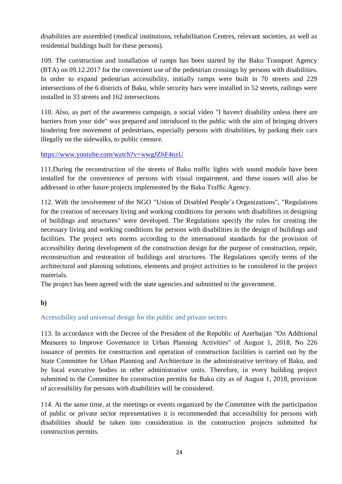disabilities are assembled (medical institutions, rehabilitation Centres, relevant societies, as well as residential buildings built for these persons).

109. The construction and installation of ramps has been started by the Baku Transport Agency (BTA) on 09.12.2017 for the convenient use of the pedestrian crossings by persons with disabilities. In order to expand pedestrian accessibility, initially ramps were built in 70 streets and 229 intersections of the 6 districts of Baku, while security bars were installed in 52 streets, railings were installed in 33 streets and 162 intersections.

110. Also, as part of the awareness campaign, a social video "I haven't disability unless there are barriers from your side" was prepared and introduced to the public with the aim of bringing drivers hindering free movement of pedestrians, especially persons with disabilities, by parking their cars illegally on the sidewalks, to public censure.

<https://www.youtube.com/watch?v=wwgJZhF4nzU>

111.During the reconstruction of the streets of Baku traffic lights with sound module have been installed for the convenience of persons with visual impairment, and these issues will also be addressed in other future projects implemented by the Baku Traffic Agency.

112. With the involvement of the NGO "Union of Disabled People's Organizations", "Regulations for the creation of necessary living and working conditions for persons with disabilities in designing of buildings and structures" were developed. The Regulations specify the rules for creating the necessary living and working conditions for persons with disabilities in the design of buildings and facilities. The project sets norms according to the international standards for the provision of accessibility during development of the construction design for the purpose of construction, repair, reconstruction and restoration of buildings and structures. The Regulations specify terms of the architectural and planning solutions, elements and project activities to be considered in the project materials.

The project has been agreed with the state agencies and submitted to the government.

### **b)**

### Accessibility and universal design for the public and private sectors

113. In accordance with the Decree of the President of the Republic of Azerbaijan "On Additional Measures to Improve Governance in Urban Planning Activities" of August 1, 2018, No 226 issuance of permits for construction and operation of construction facilities is carried out by the State Committee for Urban Planning and Architecture in the administrative territory of Baku, and by local executive bodies in other administrative units. Therefore, in every building project submitted to the Committee for construction permits for Baku city as of August 1, 2018, provision of accessibility for persons with disabilities will be considered.

114. At the same time, at the meetings or events organized by the Committee with the participation of public or private sector representatives it is recommended that accessibility for persons with disabilities should be taken into consideration in the construction projects submitted for construction permits.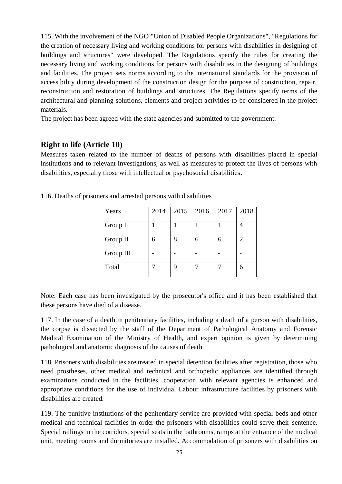115. With the involvement of the NGO "Union of Disabled People Organizations", "Regulations for the creation of necessary living and working conditions for persons with disabilities in designing of buildings and structures" were developed. The Regulations specify the rules for creating the necessary living and working conditions for persons with disabilities in the designing of buildings and facilities. The project sets norms according to the international standards for the provision of accessibility during development of the construction design for the purpose of construction, repair, reconstruction and restoration of buildings and structures. The Regulations specify terms of the architectural and planning solutions, elements and project activities to be considered in the project materials.

The project has been agreed with the state agencies and submitted to the government.

### **Right to life (Article 10)**

Measures taken related to the number of deaths of persons with disabilities placed in special institutions and to relevant investigations, as well as measures to protect the lives of persons with disabilities, especially those with intellectual or psychosocial disabilities.

| Years     | 2014 | 2015 | 2016 | 2017 | 2018 |
|-----------|------|------|------|------|------|
| Group I   |      |      |      |      |      |
| Group II  | h    |      | 6    | 6    | 2    |
| Group III |      |      |      |      |      |
| Total     |      |      |      |      |      |

116. Deaths of prisoners and arrested persons with disabilities

Note: Each case has been investigated by the prosecutor's office and it has been established that these persons have died of a disease.

117. In the case of a death in penitentiary facilities, including a death of a person with disabilities, the corpse is dissected by the staff of the Department of Pathological Anatomy and Forensic Medical Examination of the Ministry of Health, and expert opinion is given by determining pathological and anatomic diagnosis of the causes of death.

118. Prisoners with disabilities are treated in special detention facilities after registration, those who need prostheses, other medical and technical and orthopedic appliances are identified through examinations conducted in the facilities, cooperation with relevant agencies is enhanced and appropriate conditions for the use of individual Labour infrastructure facilities by prisoners with disabilities are created.

119. The punitive institutions of the penitentiary service are provided with special beds and other medical and technical facilities in order the prisoners with disabilities could serve their sentence. Special railings in the corridors, special seats in the bathrooms, ramps at the entrance of the medical unit, meeting rooms and dormitories are installed. Accommodation of prisoners with disabilities on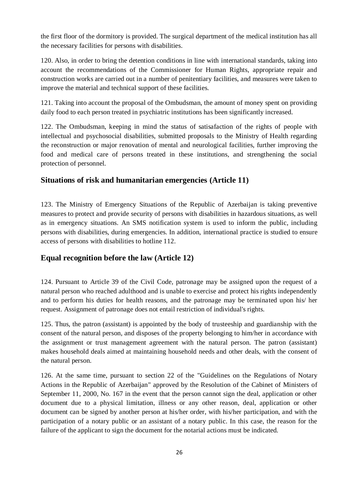the first floor of the dormitory is provided. The surgical department of the medical institution has all the necessary facilities for persons with disabilities.

120. Also, in order to bring the detention conditions in line with international standards, taking into account the recommendations of the Commissioner for Human Rights, appropriate repair and construction works are carried out in a number of penitentiary facilities, and measures were taken to improve the material and technical support of these facilities.

121. Taking into account the proposal of the Ombudsman, the amount of money spent on providing daily food to each person treated in psychiatric institutions has been significantly increased.

122. The Ombudsman, keeping in mind the status of satisafaction of the rights of people with intellectual and psychosocial disabilities, submitted proposals to the Ministry of Health regarding the reconstruction or major renovation of mental and neurological facilities, further improving the food and medical care of persons treated in these institutions, and strengthening the social protection of personnel.

### **Situations of risk and humanitarian emergencies (Article 11)**

123. The Ministry of Emergency Situations of the Republic of Azerbaijan is taking preventive measures to protect and provide security of persons with disabilities in hazardous situations, as well as in emergency situations. An SMS notification system is used to inform the public, including persons with disabilities, during emergencies. In addition, international practice is studied to ensure access of persons with disabilities to hotline 112.

### **Equal recognition before the law (Article 12)**

124. Pursuant to Article 39 of the Civil Code, patronage may be assigned upon the request of a natural person who reached adulthood and is unable to exercise and protect his rights independently and to perform his duties for health reasons, and the patronage may be terminated upon his/ her request. Assignment of patronage does not entail restriction of individual's rights.

125. Thus, the patron (assistant) is appointed by the body of trusteeship and guardianship with the consent of the natural person, and disposes of the property belonging to him/her in accordance with the assignment or trust management agreement with the natural person. The patron (assistant) makes household deals aimed at maintaining household needs and other deals, with the consent of the natural person.

126. At the same time, pursuant to section 22 of the "Guidelines on the Regulations of Notary Actions in the Republic of Azerbaijan" approved by the Resolution of the Cabinet of Ministers of September 11, 2000, No. 167 in the event that the person cannot sign the deal, application or other document due to a physical limitation, illness or any other reason, deal, application or other document can be signed by another person at his/her order, with his/her participation, and with the participation of a notary public or an assistant of a notary public. In this case, the reason for the failure of the applicant to sign the document for the notarial actions must be indicated.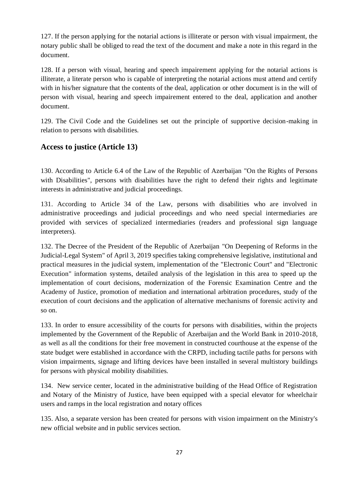127. If the person applying for the notarial actions is illiterate or person with visual impairment, the notary public shall be obliged to read the text of the document and make a note in this regard in the document.

128. If a person with visual, hearing and speech impairement applying for the notarial actions is illiterate, a literate person who is capable of interpreting the notarial actions must attend and certify with in his/her signature that the contents of the deal, application or other document is in the will of person with visual, hearing and speech impairement entered to the deal, application and another document.

129. The Civil Code and the Guidelines set out the principle of supportive decision-making in relation to persons with disabilities.

### **Access to justice (Article 13)**

130. According to Article 6.4 of the Law of the Republic of Azerbaijan "On the Rights of Persons with Disabilities", persons with disabilities have the right to defend their rights and legitimate interests in administrative and judicial proceedings.

131. According to Article 34 of the Law, persons with disabilities who are involved in administrative proceedings and judicial proceedings and who need special intermediaries are provided with services of specialized intermediaries (readers and professional sign language interpreters).

132. The Decree of the President of the Republic of Azerbaijan "On Deepening of Reforms in the Judicial-Legal System" of April 3, 2019 specifies taking comprehensive legislative, institutional and practical measures in the judicial system, implementation of the "Electronic Court" and "Electronic Execution" information systems, detailed analysis of the legislation in this area to speed up the implementation of court decisions, modernization of the Forensic Examination Centre and the Academy of Justice, promotion of mediation and international arbitration procedures, study of the execution of court decisions and the application of alternative mechanisms of forensic activity and so on.

133. In order to ensure accessibility of the courts for persons with disabilities, within the projects implemented by the Government of the Republic of Azerbaijan and the World Bank in 2010-2018, as well as all the conditions for their free movement in constructed courthouse at the expense of the state budget were established in accordance with the CRPD, including tactile paths for persons with vision impairments, signage and lifting devices have been installed in several multistory buildings for persons with physical mobility disabilities.

134. New service center, located in the administrative building of the Head Office of Registration and Notary of the Ministry of Justice, have been equipped with a special elevator for wheelchair users and ramps in the local registration and notary offices

135. Also, a separate version has been created for persons with vision impairment on the Ministry's new official website and in public services section.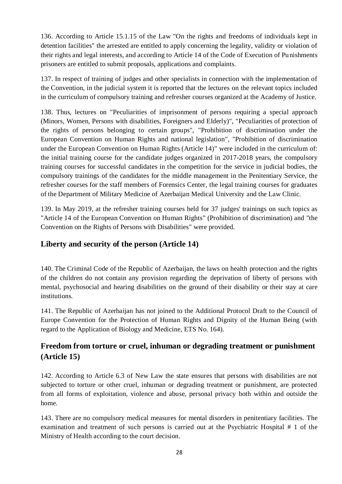136. According to Article 15.1.15 of the Law "On the rights and freedoms of individuals kept in detention facilities" the arrested are entitled to apply concerning the legality, validity or violation of their rights and legal interests, and according to Article 14 of the Code of Execution of Punishments prisoners are entitled to submit proposals, applications and complaints.

137. In respect of training of judges and other specialists in connection with the implementation of the Convention, in the judicial system it is reported that the lectures on the relevant topics included in the curriculum of compulsory training and refresher courses organized at the Academy of Justice.

138. Thus, lectures on "Peculiarities of imprisonment of persons requiring a special approach (Minors, Women, Persons with disabilities, Foreigners and Elderly)", "Peculiarities of protection of the rights of persons belonging to certain groups", "Prohibition of discrimination under the European Convention on Human Rights and national legislation", "Prohibition of discrimination under the European Convention on Human Rights (Article 14)" were included in the curriculum of: the initial training course for the candidate judges organized in 2017-2018 years, the compulsory training courses for successful candidates in the competition for the service in judicial bodies, the compulsory trainings of the candidates for the middle management in the Penitentiary Service, the refresher courses for the staff members of Forensics Center, the legal training courses for graduates of the Department of Military Medicine of Azerbaijan Medical University and the Law Clinic.

139. In May 2019, at the refresher training courses held for 37 judges' trainings on such topics as "Article 14 of the European Convention on Human Rights" (Prohibition of discrimination) and "the Convention on the Rights of Persons with Disabilities" were provided.

### **Liberty and security of the person (Article 14)**

140. The Criminal Code of the Republic of Azerbaijan, the laws on health protection and the rights of the children do not contain any provision regarding the deprivation of liberty of persons with mental, psychosocial and hearing disabilities on the ground of their disability or their stay at care institutions.

141. The Republic of Azerbaijan has not joined to the Additional Protocol Draft to the Council of Europe Convention for the Protection of Human Rights and Dignity of the Human Being (with regard to the Application of Biology and Medicine, ETS No. 164).

### **Freedom from torture or cruel, inhuman or degrading treatment or punishment (Article 15)**

142. According to Article 6.3 of New Law the state ensures that persons with disabilities are not subjected to torture or other cruel, inhuman or degrading treatment or punishment, are protected from all forms of exploitation, violence and abuse, personal privacy both within and outside the home.

143. There are no compulsory medical measures for mental disorders in penitentiary facilities. The examination and treatment of such persons is carried out at the Psychiatric Hospital # 1 of the Ministry of Health according to the court decision.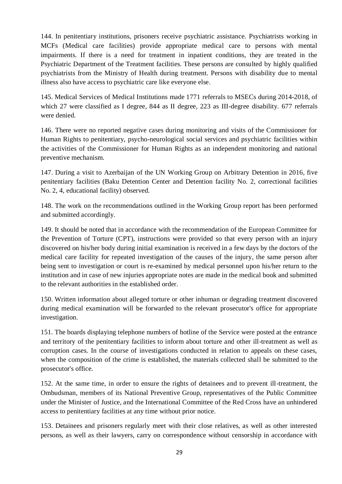144. In penitentiary institutions, prisoners receive psychiatric assistance. Psychiatrists working in MCFs (Medical care facilities) provide appropriate medical care to persons with mental impairments. If there is a need for treatment in inpatient conditions, they are treated in the Psychiatric Department of the Treatment facilities. These persons are consulted by highly qualified psychiatrists from the Ministry of Health during treatment. Persons with disability due to mental illness also have access to psychiatric care like everyone else.

145. Medical Services of Medical Institutions made 1771 referrals to MSECs during 2014-2018, of which 27 were classified as I degree, 844 as II degree, 223 as III-degree disability. 677 referrals were denied.

146. There were no reported negative cases during monitoring and visits of the Commissioner for Human Rights to penitentiary, psycho-neurological social services and psychiatric facilities within the activities of the Commissioner for Human Rights as an independent monitoring and national preventive mechanism.

147. During a visit to Azerbaijan of the UN Working Group on Arbitrary Detention in 2016, five penitentiary facilities (Baku Detention Center and Detention facility No. 2, correctional facilities No. 2, 4, educational facility) observed.

148. The work on the recommendations outlined in the Working Group report has been performed and submitted accordingly.

149. It should be noted that in accordance with the recommendation of the European Committee for the Prevention of Torture (CPT), instructions were provided so that every person with an injury discovered on his/her body during initial examination is received in a few days by the doctors of the medical care facility for repeated investigation of the causes of the injury, the same person after being sent to investigation or court is re-examined by medical personnel upon his/her return to the institution and in case of new injuries appropriate notes are made in the medical book and submitted to the relevant authorities in the established order.

150. Written information about alleged torture or other inhuman or degrading treatment discovered during medical examination will be forwarded to the relevant prosecutor's office for appropriate investigation.

151. The boards displaying telephone numbers of hotline of the Service were posted at the entrance and territory of the penitentiary facilities to inform about torture and other ill-treatment as well as corruption cases. In the course of investigations conducted in relation to appeals on these cases, when the composition of the crime is established, the materials collected shall be submitted to the prosecutor's office.

152. At the same time, in order to ensure the rights of detainees and to prevent ill-treatment, the Ombudsman, members of its National Preventive Group, representatives of the Public Committee under the Minister of Justice, and the International Committee of the Red Cross have an unhindered access to penitentiary facilities at any time without prior notice.

153. Detainees and prisoners regularly meet with their close relatives, as well as other interested persons, as well as their lawyers, carry on correspondence without censorship in accordance with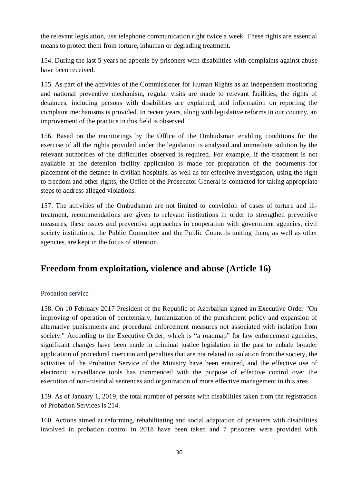the relevant legislation, use telephone communication right twice a week. These rights are essential means to protect them from torture, inhuman or degrading treatment.

154. During the last 5 years no appeals by prisoners with disabilities with complaints against abuse have been received.

155. As part of the activities of the Commissioner for Human Rights as an independent monitoring and national preventive mechanism, regular visits are made to relevant facilities, the rights of detainees, including persons with disabilities are explained, and information on reporting the complaint mechanisms is provided. In recent years, along with legislative reforms in our country, an improvement of the practice in this field is observed.

156. Based on the monitorings by the Office of the Ombudsman enabling conditions for the exercise of all the rights provided under the legislation is analysed and immediate solution by the relevant authorities of the difficulties observed is required. For example, if the treatment is not available at the detention facility application is made for preparation of the documents for placement of the detanee in civilian hospitals, as well as for effective investigation, using the right to freedom and other rights, the Office of the Prosecutor General is contacted for taking appropriate steps to address alleged violations.

157. The activities of the Ombudsman are not limited to conviction of cases of torture and illtreatment, recommendations are given to relevant institutions in order to strengthen preventive measures, these issues and preventive approaches in cooperation with government agencies, civil society institutions, the Public Committee and the Public Councils uniting them, as well as other agencies, are kept in the focus of attention.

# **Freedom from exploitation, violence and abuse (Article 16)**

### Probation service

158. On 10 February 2017 President of the Republic of Azerbaijan signed an Executive Order "On improving of operation of penitentiary, humanization of the punishment policy and expansion of alternative punishments and procedural enforcement measures not associated with isolation from society." According to the Executive Order, which is "a roadmap" for law enforcement agencies, significant changes have been made in criminal justice legislation in the past to enbale broader application of procedural coercion and penalties that are not related to isolation from the society, the activities of the Probation Service of the Ministry have been ensured, and the effective use of electronic surveillance tools has commenced with the purpose of effective control over the execution of non-custodial sentences and organization of more effective management in this area.

159. As of January 1, 2019, the total number of persons with disabilities taken from the registration of Probation Services is 214.

160. Actions aimed at reforming, rehabilitating and social adaptation of prisoners with disabilities involved in probation control in 2018 have been taken and 7 prisoners were provided with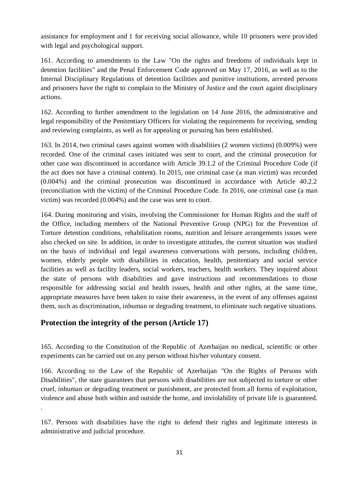assistance for employment and 1 for receiving social allowance, while 10 prisoners were provided with legal and psychological support.

161. According to amendments to the Law "On the rights and freedoms of individuals kept in detention facilities" and the Penal Enforcement Code approved on May 17, 2016, as well as to the Internal Disciplinary Regulations of detention facilities and punitive institutions, arrested persons and prisoners have the right to complain to the Ministry of Justice and the court againt disciplinary actions.

162. According to further amendment to the legislation on 14 June 2016, the administrative and legal responsibility of the Penitentiary Officers for violating the requirements for receiving, sending and reviewing complaints, as well as for appealing or pursuing has been established.

163. In 2014, two criminal cases against women with disabilities (2 women victims) (0.009%) were recorded. One of the criminal cases initiated was sent to court, and the criminal prosecution for other case was discontinued in accordance with Article 39.1.2 of the Criminal Procedure Code (if the act does not have a criminal content). In 2015, one criminal case (a man victim) was recorded (0.004%) and the criminal prosecution was discontinued in accordance with Article 40.2.2 (reconciliation with the victim) of the Criminal Procedure Code. In 2016, one criminal case (a man victim) was recorded (0.004%) and the case was sent to court.

164. During monitoring and visits, involving the Commissioner for Human Rights and the staff of the Office, including members of the National Preventive Group (NPG) for the Prevention of Torture detention conditions, rehabilitation rooms, nutrition and leisure arrangements issues were also checked on site. In addition, in order to investigate attitudes, the current situation was studied on the basis of individual and legal awareness conversations with persons, including children, women, elderly people with disabilities in education, health, penitentiary and social service facilities as well as facility leaders, social workers, teachers, health workers. They inquired about the state of persons with disabilities and gave instructions and recommendations to those responsible for addressing social and health issues, health and other rights, at the same time, appropriate measures have been taken to raise their awareness, in the event of any offenses against them, such as discrimination, inhuman or degrading treatment, to eliminate such negative situations.

### **Protection the integrity of the person (Article 17)**

.

165. According to the Constitution of the Republic of Azerbaijan no medical, scientific or other experiments can be carried out on any person without his/her voluntary consent.

166. According to the Law of the Republic of Azerbaijan "On the Rights of Persons with Disabilities", the state guarantees that persons with disabilities are not subjected to torture or other cruel, inhuman or degrading treatment or punishment, are protected from all forms of exploitation, violence and abuse both within and outside the home, and inviolability of private life is guaranteed.

<sup>167.</sup> Persons with disabilities have the right to defend their rights and legitimate interests in administrative and judicial procedure.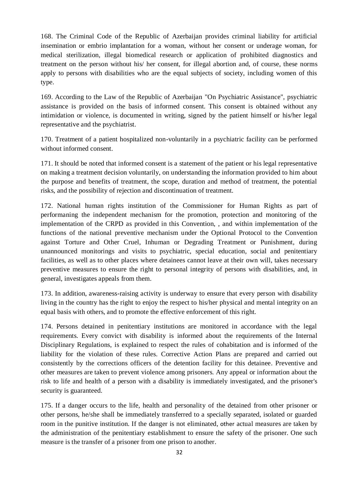168. The Criminal Code of the Republic of Azerbaijan provides criminal liability for artificial insemination or embrio implantation for a woman, without her consent or underage woman, for medical sterilization, illegal biomedical research or application of prohibited diagnostics and treatment on the person without his/ her consent, for illegal abortion and, of course, these norms apply to persons with disabilities who are the equal subjects of society, including women of this type.

169. According to the Law of the Republic of Azerbaijan "On Psychiatric Assistance", psychiatric assistance is provided on the basis of informed consent. This consent is obtained without any intimidation or violence, is documented in writing, signed by the patient himself or his/her legal representative and the psychiatrist.

170. Treatment of a patient hospitalized non-voluntarily in a psychiatric facility can be performed without informed consent.

171. It should be noted that informed consent is a statement of the patient or his legal representative on making a treatment decision voluntarily, on understanding the information provided to him about the purpose and benefits of treatment, the scope, duration and method of treatment, the potential risks, and the possibility of rejection and discontinuation of treatment.

172. National human rights institution of the Commissioner for Human Rights as part of performaning the independent mechanism for the promotion, protection and monitoring of the implementation of the CRPD as provided in this Convention, , and within implementation of the functions of the national preventive mechanism under the Optional Protocol to the Convention against Torture and Other Cruel, Inhuman or Degrading Treatment or Punishment, during unannounced monitorings and visits to psychiatric, special education, social and penitentiary facilities, as well as to other places where detainees cannot leave at their own will, takes necessary preventive measures to ensure the right to personal integrity of persons with disabilities, and, in general, investigates appeals from them.

173. In addition, awareness-raising activity is underway to ensure that every person with disability living in the country has the right to enjoy the respect to his/her physical and mental integrity on an equal basis with others, and to promote the effective enforcement of this right.

174. Persons detained in penitentiary institutions are monitored in accordance with the legal requirements. Every convict with disability is informed about the requirements of the Internal Disciplinary Regulations, is explained to respect the rules of cohabitation and is informed of the liability for the violation of these rules. Corrective Action Plans are prepared and carried out consistently by the corrections officers of the detention facility for this detainee. Preventive and other measures are taken to prevent violence among prisoners. Any appeal or information about the risk to life and health of a person with a disability is immediately investigated, and the prisoner's security is guaranteed.

175. If a danger occurs to the life, health and personality of the detained from other prisoner or other persons, he/she shall be immediately transferred to a specially separated, isolated or guarded room in the punitive institution. If the danger is not eliminated, other actual measures are taken by the administration of the penitentiary establishment to ensure the safety of the prisoner. One such measure is the transfer of a prisoner from one prison to another.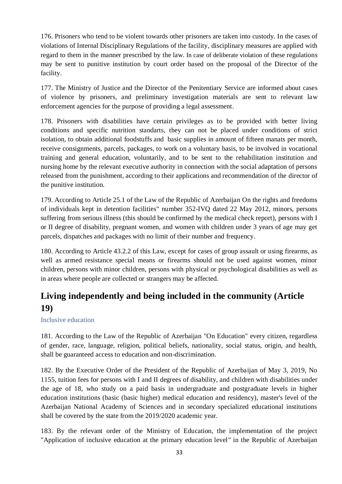176. Prisoners who tend to be violent towards other prisoners are taken into custody. In the cases of violations of Internal Disciplinary Regulations of the facility, disciplinary measures are applied with regard to them in the manner prescribed by the law. In case of deliberate violation of these regulations may be sent to punitive institution by court order based on the proposal of the Director of the facility.

177. The Ministry of Justice and the Director of the Penitentiary Service are informed about cases of violence by prisoners, and preliminary investigation materials are sent to relevant law enforcement agencies for the purpose of providing a legal assessment.

178. Prisoners with disabilities have certain privileges as to be provided with better living conditions and specific nutrition standarts, they can not be placed under conditions of strict isolation, to obtain additional foodstuffs and basic supplies in amount of fifteen manats per month, receive consignments, parcels, packages, to work on a voluntary basis, to be involved in vocational training and general education, voluntarily, and to be sent to the rehabilitation institution and nursing home by the relevant executive authority in connection with the social adaptation of persons released from the punishment, according to their applications and recommendation of the director of the punitive institution.

179. According to Article 25.1 of the Law of the Republic of Azerbaijan On the rights and freedoms of individuals kept in detention facilities" number 352-IVQ dated 22 May 2012, minors, persons suffering from serious illness (this should be confirmed by the medical check report), persons with I or II degree of disability, pregnant women, and women with children under 3 years of age may get parcels, dispatches and packages with no limit of their number and frequency.

180. According to Article 43.2.2 of this Law, except for cases of group assault or using firearms, as well as armed resistance special means or firearms should not be used against women, minor children, persons with minor children, persons with physical or psychological disabilities as well as in areas where people are collected or strangers may be affected.

# **Living independently and being included in the community (Article 19)**

Inclusive education

181. According to the Law of the Republic of Azerbaijan "On Education" every citizen, regardless of gender, race, language, religion, political beliefs, nationality, social status, origin, and health, shall be guaranteed access to education and non-discrimination.

182. By the Executive Order of the President of the Republic of Azerbaijan of May 3, 2019, No 1155, tuition fees for persons with I and II degrees of disability, and children with disabilities under the age of 18, who study on a paid basis in undergraduate and postgraduate levels in higher education institutions (basic (basic higher) medical education and residency), master's level of the Azerbaijan National Academy of Sciences and in secondary specialized educational institutions shall be covered by the state from the 2019/2020 academic year.

183. By the relevant order of the Ministry of Education, the implementation of the project "Application of inclusive education at the primary education level" in the Republic of Azerbaijan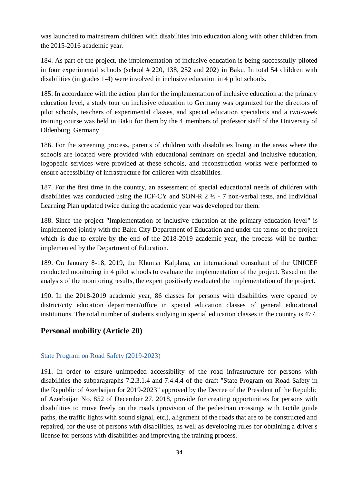was launched to mainstream children with disabilities into education along with other children from the 2015-2016 academic year.

184. As part of the project, the implementation of inclusive education is being successfully piloted in four experimental schools (school # 220, 138, 252 and 202) in Baku. In total 54 children with disabilities (in grades 1-4) were involved in inclusive education in 4 pilot schools.

185. In accordance with the action plan for the implementation of inclusive education at the primary education level, a study tour on inclusive education to Germany was organized for the directors of pilot schools, teachers of experimental classes, and special education specialists and a two-week training course was held in Baku for them by the 4 members of professor staff of the University of Oldenburg, Germany.

186. For the screening process, parents of children with disabilities living in the areas where the schools are located were provided with educational seminars on special and inclusive education, logopedic services were provided at these schools, and reconstruction works were performed to ensure accessibility of infrastructure for children with disabilities.

187. For the first time in the country, an assessment of special educational needs of children with disabilities was conducted using the ICF-CY and SON-R 2 ½ - 7 non-verbal tests, and Individual Learning Plan updated twice during the academic year was developed for them.

188. Since the project "Implementation of inclusive education at the primary education level" is implemented jointly with the Baku City Department of Education and under the terms of the project which is due to expire by the end of the 2018-2019 academic year, the process will be further implemented by the Department of Education.

189. On January 8-18, 2019, the Khumar Kalplana, an international consultant of the UNICEF conducted monitoring in 4 pilot schools to evaluate the implementation of the project. Based on the analysis of the monitoring results, the expert positively evaluated the implementation of the project.

190. In the 2018-2019 academic year, 86 classes for persons with disabilities were opened by district/city education department/office in special education classes of general educational institutions. The total number of students studying in special education classes in the country is 477.

### **Personal mobility (Article 20)**

### State Program on Road Safety (2019-2023)

191. In order to ensure unimpeded accessibility of the road infrastructure for persons with disabilities the subparagraphs 7.2.3.1.4 and 7.4.4.4 of the draft "State Program on Road Safety in the Republic of Azerbaijan for 2019-2023" approved by the Decree of the President of the Republic of Azerbaijan No. 852 of December 27, 2018, provide for creating opportunities for persons with disabilities to move freely on the roads (provision of the pedestrian crossings with tactile guide paths, the traffic lights with sound signal, etc.), alignment of the roads that are to be constructed and repaired, for the use of persons with disabilities, as well as developing rules for obtaining a driver's license for persons with disabilities and improving the training process.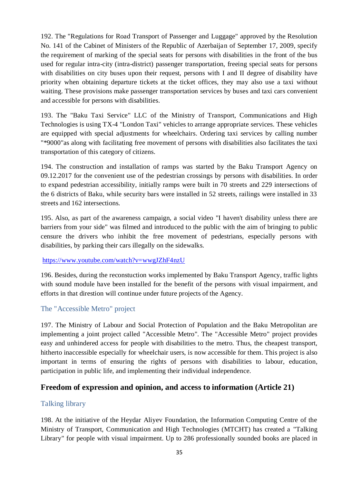192. The "Regulations for Road Transport of Passenger and Luggage" approved by the Resolution No. 141 of the Cabinet of Ministers of the Republic of Azerbaijan of September 17, 2009, specify the requirement of marking of the special seats for persons with disabilities in the front of the bus used for regular intra-city (intra-district) passenger transportation, freeing special seats for persons with disabilities on city buses upon their request, persons with I and II degree of disability have priority when obtaining departure tickets at the ticket offices, they may also use a taxi without waiting. These provisions make passenger transportation services by buses and taxi cars convenient and accessible for persons with disabilities.

193. The "Baku Taxi Service" LLC of the Ministry of Transport, Communications and High Technologies is using TX-4 "London Taxi" vehicles to arrange appropriate services. These vehicles are equipped with special adjustments for wheelchairs. Ordering taxi services by calling number "\*9000"as along with facilitating free movement of persons with disabilities also facilitates the taxi transportation of this category of citizens.

194. The construction and installation of ramps was started by the Baku Transport Agency on 09.12.2017 for the convenient use of the pedestrian crossings by persons with disabilities. In order to expand pedestrian accessibility, initially ramps were built in 70 streets and 229 intersections of the 6 districts of Baku, while security bars were installed in 52 streets, railings were installed in 33 streets and 162 intersections.

195. Also, as part of the awareness campaign, a social video "I haven't disability unless there are barriers from your side" was filmed and introduced to the public with the aim of bringing to public censure the drivers who inhibit the free movement of pedestrians, especially persons with disabilities, by parking their cars illegally on the sidewalks.

### <https://www.youtube.com/watch?v=wwgJZhF4nzU>

196. Besides, during the reconstuction works implemented by Baku Transport Agency, traffic lights with sound module have been installed for the benefit of the persons with visual impairment, and efforts in that direstion will continue under future projects of the Agency.

### The "Accessible Metro" project

197. The Ministry of Labour and Social Protection of Population and the Baku Metropolitan are implementing a joint project called "Accessible Metro". The "Accessible Metro" project provides easy and unhindered access for people with disabilities to the metro. Thus, the cheapest transport, hitherto inaccessible especially for wheelchair users, is now accessible for them. This project is also important in terms of ensuring the rights of persons with disabilities to labour, education, participation in public life, and implementing their individual independence.

### **Freedom of expression and opinion, and access to information (Article 21)**

### Talking library

198. At the initiative of the Heydar Aliyev Foundation, the Information Computing Centre of the Ministry of Transport, Communication and High Technologies (MTCHT) has created a "Talking Library" for people with visual impairment. Up to 286 professionally sounded books are placed in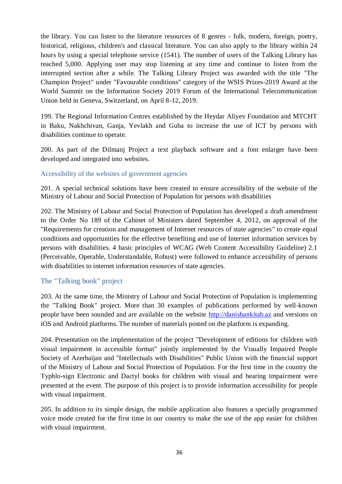the library. You can listen to the literature resources of 8 genres - folk, modern, foreign, poetry, historical, religious, children's and classical literature. You can also apply to the library within 24 hours by using a special telephone service (1541). The number of users of the Talking Library has reached 5,000. Applying user may stop listening at any time and continue to listen from the interrupted section after a while. The Talking Library Project was awarded with the title "The Champion Project" under "Favourable conditions" category of the WSIS Prizes-2019 Award at the World Summit on the Information Society 2019 Forum of the International Telecommunication Union held in Geneva, Switzerland, on April 8-12, 2019.

199. The Regional Information Centres established by the Heydar Aliyev Foundation and MTCHT in Baku, Nakhchivan, Ganja, Yevlakh and Guba to increase the use of ICT by persons with disabilities continue to operate.

200. As part of the Dilmanj Project a text playback software and a font enlarger have been developed and integrated into websites.

### Accessibility of the websites of government agencies

201. A special technical solutions have been created to ensure accessibility of the website of the Ministry of Labour and Social Protection of Population for persons with disabilities

202. The Ministry of Labour and Social Protection of Population has developed a draft amendment to the Order No 189 of the Cabinet of Ministers dated September 4, 2012, on approval of the "Requirements for creation and management of Internet resources of state agencies" to create equal conditions and opportunities for the effective benefiting and use of Internet information services by persons with disabilities. 4 basic principles of WCAG (Web Content Accessibility Guideline) 2.1 (Perceivable, Operable, Understandable, Robust) were followed to enhance accessibility of persons with disabilities to internet information resources of state agencies.

### The "Talking book" project

203. At the same time, the Ministry of Labour and Social Protection of Population is implementing the "Talking Book" project. More than 30 examples of publications performed by well-known people have been sounded and are available on the website [http://danishankitab.az](http://danishankitab.az/) and versions on iOS and Android platforms. The number of materials posted on the platform is expanding.

204. Presentation on the implementation of the project "Development of editions for children with visual impairment in accessible format" jointly implemented by the Visually Impaired People Society of Azerbaijan and "Intellectuals with Disabilities" Public Union with the financial support of the Ministry of Labour and Social Protection of Population. For the first time in the country the Typhlo-sign Electronic and Dactyl books for children with visual and hearing impairment were presented at the event. The purpose of this project is to provide information accessibility for people with visual impairment.

205. In addition to its simple design, the mobile application also features a specially programmed voice mode created for the first time in our country to make the use of the app easier for children with visual impairment.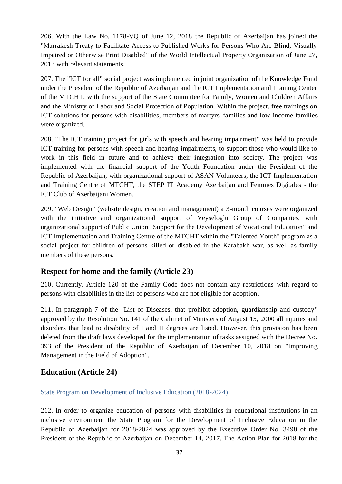206. With the Law No. 1178-VQ of June 12, 2018 the Republic of Azerbaijan has joined the "Marrakesh Treaty to Facilitate Access to Published Works for Persons Who Are Blind, Visually Impaired or Otherwise Print Disabled" of the World Intellectual Property Organization of June 27, 2013 with relevant statements.

207. The "ICT for all" social project was implemented in joint organization of the Knowledge Fund under the President of the Republic of Azerbaijan and the ICT Implementation and Training Center of the MTCHT, with the support of the State Committee for Family, Women and Children Affairs and the Ministry of Labor and Social Protection of Population. Within the project, free trainings on ICT solutions for persons with disabilities, members of martyrs' families and low-income families were organized.

208. "The ICT training project for girls with speech and hearing impairment" was held to provide ICT training for persons with speech and hearing impairments, to support those who would like to work in this field in future and to achieve their integration into society. The project was implemented with the financial support of the Youth Foundation under the President of the Republic of Azerbaijan, with organizational support of ASAN Volunteers, the ICT Implementation and Training Centre of MTCHT, the STEP IT Academy Azerbaijan and Femmes Digitales - the ICT Club of Azerbaijani Women.

209. "Web Design" (website design, creation and management) a 3-month courses were organized with the initiative and organizational support of Veyseloglu Group of Companies, with organizational support of Public Union "Support for the Development of Vocational Education" and ICT Implementation and Training Centre of the MTCHT within the "Talented Youth" program as a social project for children of persons killed or disabled in the Karabakh war, as well as family members of these persons.

### **Respect for home and the family (Article 23)**

210. Currently, Article 120 of the Family Code does not contain any restrictions with regard to persons with disabilities in the list of persons who are not eligible for adoption.

211. In paragraph 7 of the "List of Diseases, that prohibit adoption, guardianship and custody" approved by the Resolution No. 141 of the Cabinet of Ministers of August 15, 2000 all injuries and disorders that lead to disability of I and II degrees are listed. However, this provision has been deleted from the draft laws developed for the implementation of tasks assigned with the Decree No. 393 of the President of the Republic of Azerbaijan of December 10, 2018 on "Improving Management in the Field of Adoption".

### **Education (Article 24)**

State Program on Development of Inclusive Education (2018-2024)

212. In order to organize education of persons with disabilities in educational institutions in an inclusive environment the State Program for the Development of Inclusive Education in the Republic of Azerbaijan for 2018-2024 was approved by the Executive Order No. 3498 of the President of the Republic of Azerbaijan on December 14, 2017. The Action Plan for 2018 for the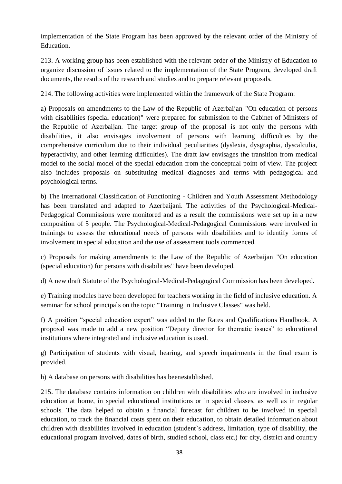implementation of the State Program has been approved by the relevant order of the Ministry of Education.

213. A working group has been established with the relevant order of the Ministry of Education to organize discussion of issues related to the implementation of the State Program, developed draft documents, the results of the research and studies and to prepare relevant proposals.

214. The following activities were implemented within the framework of the State Program:

a) Proposals on amendments to the Law of the Republic of Azerbaijan "On education of persons with disabilities (special education)" were prepared for submission to the Cabinet of Ministers of the Republic of Azerbaijan. The target group of the proposal is not only the persons with disabilities, it also envisages involvement of persons with learning difficulties by the comprehensive curriculum due to their individual peculiarities (dyslexia, dysgraphia, dyscalculia, hyperactivity, and other learning difficulties). The draft law envisages the transition from medical model to the social model of the special education from the conceptual point of view. The project also includes proposals on substituting medical diagnoses and terms with pedagogical and psychological terms.

b) The International Classification of Functioning - Children and Youth Assessment Methodology has been translated and adapted to Azerbaijani. The activities of the Psychological-Medical-Pedagogical Commissions were monitored and as a result the commissions were set up in a new composition of 5 people. The Psychological-Medical-Pedagogical Commissions were involved in trainings to assess the educational needs of persons with disabilities and to identify forms of involvement in special education and the use of assessment tools commenced.

c) Proposals for making amendments to the Law of the Republic of Azerbaijan "On education (special education) for persons with disabilities" have been developed.

d) A new draft Statute of the Psychological-Medical-Pedagogical Commission has been developed.

e) Training modules have been developed for teachers working in the field of inclusive education. A seminar for school principals on the topic "Training in Inclusive Classes" was held.

f) A position "special education expert" was added to the Rates and Qualifications Handbook. A proposal was made to add a new position "Deputy director for thematic issues" to educational institutions where integrated and inclusive education is used.

g) Participation of students with visual, hearing, and speech impairments in the final exam is provided.

h) A database on persons with disabilities has beenestablished.

215. The database contains information on children with disabilities who are involved in inclusive education at home, in special educational institutions or in special classes, as well as in regular schools. The data helped to obtain a financial forecast for children to be involved in special education, to track the financial costs spent on their education, to obtain detailed information about children with disabilities involved in education (student`s address, limitation, type of disability, the educational program involved, dates of birth, studied school, class etc.) for city, district and country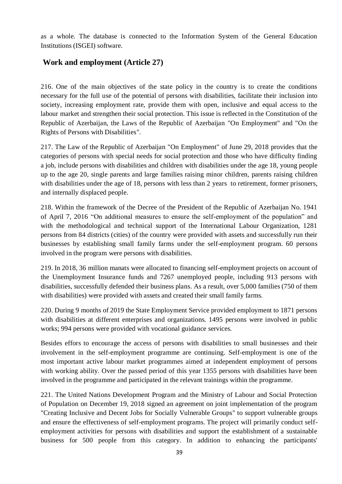as a whole. The database is connected to the Information System of the General Education Institutions (ISGEI) software.

### **Work and employment (Article 27)**

216. One of the main objectives of the state policy in the country is to create the conditions necessary for the full use of the potential of persons with disabilities, facilitate their inclusion into society, increasing employment rate, provide them with open, inclusive and equal access to the labour market and strengthen their social protection. This issue is reflected in the Constitution of the Republic of Azerbaijan, the Laws of the Republic of Azerbaijan "On Employment" and "On the Rights of Persons with Disabilities".

217. The Law of the Republic of Azerbaijan "On Employment" of June 29, 2018 provides that the categories of persons with special needs for social protection and those who have difficulty finding a job, include persons with disabilities and children with disabilities under the age 18, young people up to the age 20, single parents and large families raising minor children, parents raising children with disabilities under the age of 18, persons with less than 2 years to retirement, former prisoners, and internally displaced people.

218. Within the framework of the Decree of the President of the Republic of Azerbaijan No. 1941 of April 7, 2016 "On additional measures to ensure the self-employment of the population" and with the methodological and technical support of the International Labour Organization, 1281 persons from 84 districts (cities) of the country were provided with assets and successfully run their businesses by establishing small family farms under the self-employment program. 60 persons involved in the program were persons with disabilities.

219. In 2018, 36 million manats were allocated to financing self-employment projects on account of the Unemployment Insurance funds and 7267 unemployed people, including 913 persons with disabilities, successfully defended their business plans. As a result, over 5,000 families (750 of them with disabilities) were provided with assets and created their small family farms.

220. During 9 months of 2019 the State Employment Service provided employment to 1871 persons with disabilities at different enterprises and organizations. 1495 persons were involved in public works; 994 persons were provided with vocational guidance services.

Besides effors to encourage the access of persons with disabilities to small businesses and their involvement in the self-employment programme are continuing. Self-employment is one of the most important active labour market programmes aimed at independent employment of persons with working ability. Over the passed period of this year 1355 persons with disabilities have been involved in the programme and participated in the relevant trainings within the programme.

221. The United Nations Development Program and the Ministry of Labour and Social Protection of Population on December 19, 2018 signed an agreement on joint implementation of the program "Creating Inclusive and Decent Jobs for Socially Vulnerable Groups" to support vulnerable groups and ensure the effectiveness of self-employment programs. The project will primarily conduct selfemployment activities for persons with disabilities and support the establishment of a sustainable business for 500 people from this category. In addition to enhancing the participants'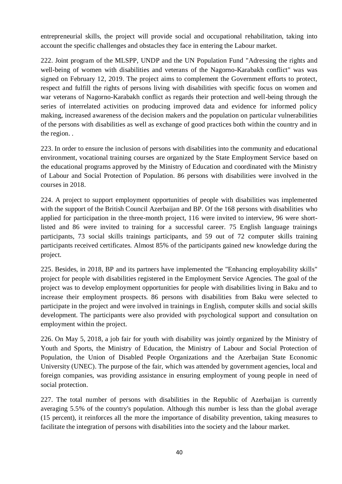entrepreneurial skills, the project will provide social and occupational rehabilitation, taking into account the specific challenges and obstacles they face in entering the Labour market.

222. Joint program of the MLSPP, UNDP and the UN Population Fund "Adressing the rights and well-being of women with disabilities and veterans of the Nagorno-Karabakh conflict" was was signed on February 12, 2019. The project aims to complement the Government efforts to protect, respect and fulfill the rights of persons living with disabilities with specific focus on women and war veterans of Nagorno-Karabakh conflict as regards their protection and well-being through the series of interrelated activities on producing improved data and evidence for informed policy making, increased awareness of the decision makers and the population on particular vulnerabilities of the persons with disabilities as well as exchange of good practices both within the country and in the region. .

223. In order to ensure the inclusion of persons with disabilities into the community and educational environment, vocational training courses are organized by the State Employment Service based on the educational programs approved by the Ministry of Education and coordinated with the Ministry of Labour and Social Protection of Population. 86 persons with disabilities were involved in the courses in 2018.

224. A project to support employment opportunities of people with disabilities was implemented with the support of the British Council Azerbaijan and BP. Of the 168 persons with disabilities who applied for participation in the three-month project, 116 were invited to interview, 96 were shortlisted and 86 were invited to training for a successful career. 75 English language trainings participants, 73 social skills trainings participants, and 59 out of 72 computer skills training participants received certificates. Almost 85% of the participants gained new knowledge during the project.

225. Besides, in 2018, BP and its partners have implemented the "Enhancing employability skills" project for people with disabilities registered in the Employment Service Agencies. The goal of the project was to develop employment opportunities for people with disabilities living in Baku and to increase their employment prospects. 86 persons with disabilities from Baku were selected to participate in the project and were involved in trainings in English, computer skills and social skills development. The participants were also provided with psychological support and consultation on employment within the project.

226. On May 5, 2018, a job fair for youth with disability was jointly organized by the Ministry of Youth and Sports, the Ministry of Education, the Ministry of Labour and Social Protection of Population, the Union of Disabled People Organizations and the Azerbaijan State Economic University (UNEC). The purpose of the fair, which was attended by government agencies, local and foreign companies, was providing assistance in ensuring employment of young people in need of social protection.

227. The total number of persons with disabilities in the Republic of Azerbaijan is currently averaging 5.5% of the country's population. Although this number is less than the global average (15 percent), it reinforces all the more the importance of disability prevention, taking measures to facilitate the integration of persons with disabilities into the society and the labour market.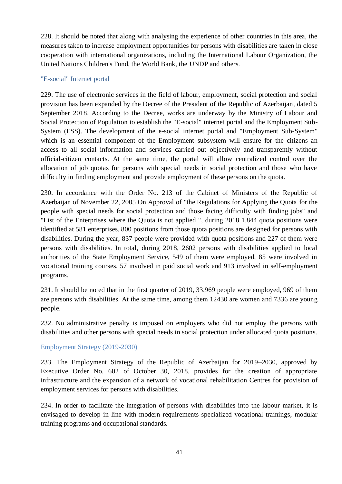228. It should be noted that along with analysing the experience of other countries in this area, the measures taken to increase employment opportunities for persons with disabilities are taken in close cooperation with international organizations, including the International Labour Organization, the United Nations Children's Fund, the World Bank, the UNDP and others.

### "E-social" Internet portal

229. The use of electronic services in the field of labour, employment, social protection and social provision has been expanded by the Decree of the President of the Republic of Azerbaijan, dated 5 September 2018. According to the Decree, works are underway by the Ministry of Labour and Social Protection of Population to establish the "E-social" internet portal and the Employment Sub-System (ESS). The development of the e-social internet portal and "Employment Sub-System" which is an essential component of the Employment subsystem will ensure for the citizens an access to all social information and services carried out objectively and transparently without official-citizen contacts. At the same time, the portal will allow centralized control over the allocation of job quotas for persons with special needs in social protection and those who have difficulty in finding employment and provide employment of these persons on the quota.

230. In accordance with the Order No. 213 of the Cabinet of Ministers of the Republic of Azerbaijan of November 22, 2005 On Approval of "the Regulations for Applying the Quota for the people with special needs for social protection and those facing difficulty with finding jobs" and "List of the Enterprises where the Quota is not applied ", during 2018 1,844 quota positions were identified at 581 enterprises. 800 positions from those quota positions are designed for persons with disabilities. During the year, 837 people were provided with quota positions and 227 of them were persons with disabilities. In total, during 2018, 2602 persons with disabilities applied to local authorities of the State Employment Service, 549 of them were employed, 85 were involved in vocational training courses, 57 involved in paid social work and 913 involved in self-employment programs.

231. It should be noted that in the first quarter of 2019, 33,969 people were employed, 969 of them are persons with disabilities. At the same time, among them 12430 are women and 7336 are young people.

232. No administrative penalty is imposed on employers who did not employ the persons with disabilities and other persons with special needs in social protection under allocated quota positions.

### Employment Strategy (2019-2030)

233. The Employment Strategy of the Republic of Azerbaijan for 2019–2030, approved by Executive Order No. 602 of October 30, 2018, provides for the creation of appropriate infrastructure and the expansion of a network of vocational rehabilitation Centres for provision of employment services for persons with disabilities.

234. In order to facilitate the integration of persons with disabilities into the labour market, it is envisaged to develop in line with modern requirements specialized vocational trainings, modular training programs and occupational standards.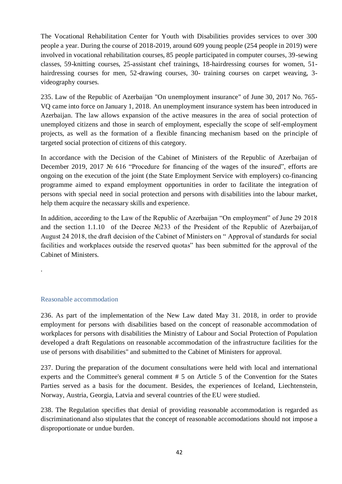The Vocational Rehabilitation Center for Youth with Disabilities provides services to over 300 people a year. During the course of 2018-2019, around 609 young people (254 people in 2019) were involved in vocational rehabilitation courses, 85 people participated in computer courses, 39-sewing classes, 59-knitting courses, 25-assistant chef trainings, 18-hairdressing courses for women, 51 hairdressing courses for men, 52-drawing courses, 30- training courses on carpet weaving, 3videography courses.

235. Law of the Republic of Azerbaijan "On unemployment insurance" of June 30, 2017 No. 765- VQ came into force on January 1, 2018. An unemployment insurance system has been introduced in Azerbaijan. The law allows expansion of the active measures in the area of social protection of unemployed citizens and those in search of employment, especially the scope of self-employment projects, as well as the formation of a flexible financing mechanism based on the principle of targeted social protection of citizens of this category.

In accordance with the Decision of the Cabinet of Ministers of the Republic of Azerbaijan of December 2019, 2017 № 616 "Procedure for financing of the wages of the insured", efforts are ongoing on the execution of the joint (the State Employment Service with employers) co-financing programme aimed to expand employment opportunities in order to facilitate the integration of persons with special need in social protection and persons with disabilities into the labour market, help them acquire the necassary skills and experience.

In addition, according to the Law of the Republic of Azerbaijan "On employment" of June 29 2018 and the section 1.1.10 of the Decree №233 of the President of the Republic of Azerbaijan,of August 24 2018, the draft decision of the Cabinet of Ministers on " Approval of standards for social facilities and workplaces outside the reserved quotas" has been submitted for the approval of the Cabinet of Ministers.

#### Reasonable accommodation

.

236. As part of the implementation of the New Law dated May 31. 2018, in order to provide employment for persons with disabilities based on the concept of reasonable accommodation of workplaces for persons with disabilities the Ministry of Labour and Social Protection of Population developed a draft Regulations on reasonable accommodation of the infrastructure facilities for the use of persons with disabilities" and submitted to the Cabinet of Ministers for approval.

237. During the preparation of the document consultations were held with local and international experts and the Committee's general comment # 5 on Article 5 of the Convention for the States Parties served as a basis for the document. Besides, the experiences of Iceland, Liechtenstein, Norway, Austria, Georgia, Latvia and several countries of the EU were studied.

238. The Regulation specifies that denial of providing reasonable accommodation is regarded as discriminationand also stipulates that the concept of reasonable accomodations should not impose a disproportionate or undue burden.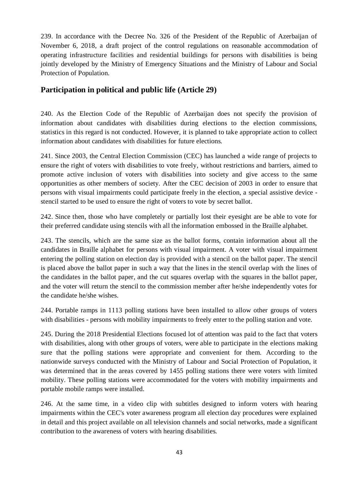239. In accordance with the Decree No. 326 of the President of the Republic of Azerbaijan of November 6, 2018, a draft project of the control regulations on reasonable accommodation of operating infrastructure facilities and residential buildings for persons with disabilities is being jointly developed by the Ministry of Emergency Situations and the Ministry of Labour and Social Protection of Population.

### **Participation in political and public life (Article 29)**

240. As the Election Code of the Republic of Azerbaijan does not specify the provision of information about candidates with disabilities during elections to the election commissions, statistics in this regard is not conducted. However, it is planned to take appropriate action to collect information about candidates with disabilities for future elections.

241. Since 2003, the Central Election Commission (CEC) has launched a wide range of projects to ensure the right of voters with disabilities to vote freely, without restrictions and barriers, aimed to promote active inclusion of voters with disabilities into society and give access to the same opportunities as other members of society. After the CEC decision of 2003 in order to ensure that persons with visual impairments could participate freely in the election, a special assistive device stencil started to be used to ensure the right of voters to vote by secret ballot.

242. Since then, those who have completely or partially lost their eyesight are be able to vote for their preferred candidate using stencils with all the information embossed in the Braille alphabet.

243. The stencils, which are the same size as the ballot forms, contain information about all the candidates in Braille alphabet for persons with visual impairment. A voter with visual impairment entering the polling station on election day is provided with a stencil on the ballot paper. The stencil is placed above the ballot paper in such a way that the lines in the stencil overlap with the lines of the candidates in the ballot paper, and the cut squares overlap with the squares in the ballot paper, and the voter will return the stencil to the commission member after he/she independently votes for the candidate he/she wishes.

244. Portable ramps in 1113 polling stations have been installed to allow other groups of voters with disabilities - persons with mobility impairments to freely enter to the polling station and vote.

245. During the 2018 Presidential Elections focused lot of attention was paid to the fact that voters with disabilities, along with other groups of voters, were able to participate in the elections making sure that the polling stations were appropriate and convenient for them. According to the nationwide surveys conducted with the Ministry of Labour and Social Protection of Population, it was determined that in the areas covered by 1455 polling stations there were voters with limited mobility. These polling stations were accommodated for the voters with mobility impairments and portable mobile ramps were installed.

246. At the same time, in a video clip with subtitles designed to inform voters with hearing impairments within the CEC's voter awareness program all election day procedures were explained in detail and this project available on all television channels and social networks, made a significant contribution to the awareness of voters with hearing disabilities.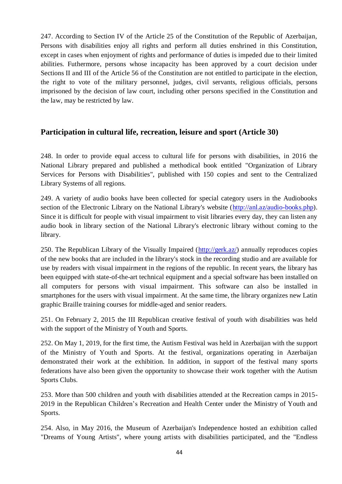247. According to Section IV of the Article 25 of the Constitution of the Republic of Azerbaijan, Persons with disabilities enjoy all rights and perform all duties enshrined in this Constitution, except in cases when enjoyment of rights and performance of duties is impeded due to their limited abilities. Futhermore, persons whose incapacity has been approved by a court decision under Sections II and III of the Article 56 of the Constitution are not entitled to participate in the election, the right to vote of the military personnel, judges, civil servants, religious officials, persons imprisoned by the decision of law court, including other persons specified in the Constitution and the law, may be restricted by law.

### **Participation in cultural life, recreation, leisure and sport (Article 30)**

248. In order to provide equal access to cultural life for persons with disabilities, in 2016 the National Library prepared and published a methodical book entitled "Organization of Library Services for Persons with Disabilities", published with 150 copies and sent to the Centralized Library Systems of all regions.

249. A variety of audio books have been collected for special category users in the Audiobooks section of the Electronic Library on the National Library's website [\(http://anl.az/audio-books.php\)](http://anl.az/audio-books.php). Since it is difficult for people with visual impairment to visit libraries every day, they can listen any audio book in library section of the National Library's electronic library without coming to the library.

250. The Republican Library of the Visually Impaired [\(http://gerk.az/\)](http://gerk.az/) annually reproduces copies of the new books that are included in the library's stock in the recording studio and are available for use by readers with visual impairment in the regions of the republic. In recent years, the library has been equipped with state-of-the-art technical equipment and a special software has been installed on all computers for persons with visual impairment. This software can also be installed in smartphones for the users with visual impairment. At the same time, the library organizes new Latin graphic Braille training courses for middle-aged and senior readers.

251. On February 2, 2015 the III Republican creative festival of youth with disabilities was held with the support of the Ministry of Youth and Sports.

252. On May 1, 2019, for the first time, the Autism Festival was held in Azerbaijan with the support of the Ministry of Youth and Sports. At the festival, organizations operating in Azerbaijan demonstrated their work at the exhibition. In addition, in support of the festival many sports federations have also been given the opportunity to showcase their work together with the Autism Sports Clubs.

253. More than 500 children and youth with disabilities attended at the Recreation camps in 2015- 2019 in the Republican Children's Recreation and Health Center under the Ministry of Youth and Sports.

254. Also, in May 2016, the Museum of Azerbaijan's Independence hosted an exhibition called "Dreams of Young Artists", where young artists with disabilities participated, and the "Endless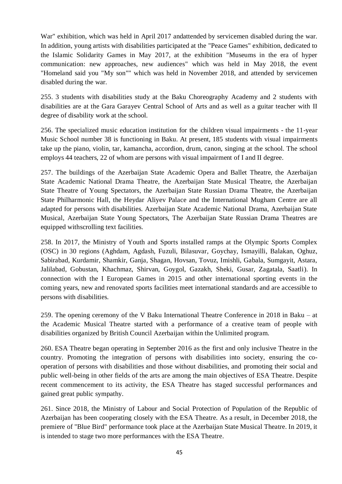War" exhibition, which was held in April 2017 andattended by servicemen disabled during the war. In addition, young artists with disabilities participated at the "Peace Games" exhibition, dedicated to the Islamic Solidarity Games in May 2017, at the exhibition "Museums in the era of hyper communication: new approaches, new audiences" which was held in May 2018, the event "Homeland said you "My son"" which was held in November 2018, and attended by servicemen disabled during the war.

255. 3 students with disabilities study at the Baku Choreography Academy and 2 students with disabilities are at the Gara Garayev Central School of Arts and as well as a guitar teacher with II degree of disability work at the school.

256. The specialized music education institution for the children visual impairments - the 11-year Music School number 38 is functioning in Baku. At present, 185 students with visual impairments take up the piano, violin, tar, kamancha, accordion, drum, canon, singing at the school. The school employs 44 teachers, 22 of whom are persons with visual impairment of I and II degree.

257. The buildings of the Azerbaijan State Academic Opera and Ballet Theatre, the Azerbaijan State Academic National Drama Theatre, the Azerbaijan State Musical Theatre, the Azerbaijan State Theatre of Young Spectators, the Azerbaijan State Russian Drama Theatre, the Azerbaijan State Philharmonic Hall, the Heydar Aliyev Palace and the International Mugham Centre are all adapted for persons with disabilities. Azerbaijan State Academic National Drama, Azerbaijan State Musical, Azerbaijan State Young Spectators, The Azerbaijan State Russian Drama Theatres are equipped withscrolling text facilities.

258. In 2017, the Ministry of Youth and Sports installed ramps at the Olympic Sports Complex (OSC) in 30 regions (Aghdam, Agdash, Fuzuli, Bilasuvar, Goychay, Ismayilli, Balakan, Oghuz, Sabirabad, Kurdamir, Shamkir, Ganja, Shagan, Hovsan, Tovuz, Imishli, Gabala, Sumgayit, Astara, Jalilabad, Gobustan, Khachmaz, Shirvan, Goygol, Gazakh, Sheki, Gusar, Zagatala, Saatli). In connection with the I European Games in 2015 and other international sporting events in the coming years, new and renovated sports facilities meet international standards and are accessible to persons with disabilities.

259. The opening ceremony of the V Baku International Theatre Conference in 2018 in Baku – at the Academic Musical Theatre started with a performance of a creative team of people with disabilities organized by British Council Azerbaijan within the Unlimited program.

260. ESA Theatre began operating in September 2016 as the first and only inclusive Theatre in the country. Promoting the integration of persons with disabilities into society, ensuring the cooperation of persons with disabilities and those without disabilities, and promoting their social and public well-being in other fields of the arts are among the main objectives of ESA Theatre. Despite recent commencement to its activity, the ESA Theatre has staged successful performances and gained great public sympathy.

261. Since 2018, the Ministry of Labour and Social Protection of Population of the Republic of Azerbaijan has been cooperating closely with the ESA Theatre. As a result, in December 2018, the premiere of "Blue Bird" performance took place at the Azerbaijan State Musical Theatre. In 2019, it is intended to stage two more performances with the ESA Theatre.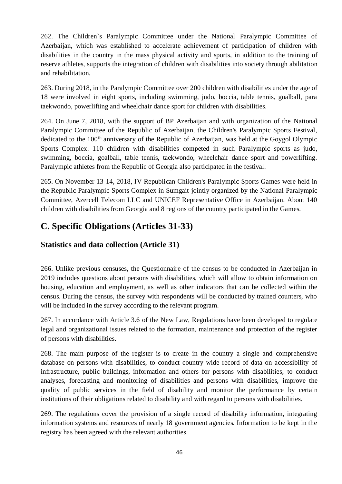262. The Children`s Paralympic Committee under the National Paralympic Committee of Azerbaijan, which was established to accelerate achievement of participation of children with disabilities in the country in the mass physical activity and sports, in addition to the training of reserve athletes, supports the integration of children with disabilities into society through abilitation and rehabilitation.

263. During 2018, in the Paralympic Committee over 200 children with disabilities under the age of 18 were involved in eight sports, including swimming, judo, boccia, table tennis, goalball, para taekwondo, powerlifting and wheelchair dance sport for children with disabilities.

264. On June 7, 2018, with the support of BP Azerbaijan and with organization of the National Paralympic Committee of the Republic of Azerbaijan, the Children's Paralympic Sports Festival, dedicated to the 100<sup>th</sup> anniversary of the Republic of Azerbaijan, was held at the Goygol Olympic Sports Complex. 110 children with disabilities competed in such Paralympic sports as judo, swimming, boccia, goalball, table tennis, taekwondo, wheelchair dance sport and powerlifting. Paralympic athletes from the Republic of Georgia also participated in the festival.

265. On November 13-14, 2018, IV Republican Children's Paralympic Sports Games were held in the Republic Paralympic Sports Complex in Sumgait jointly organized by the National Paralympic Committee, Azercell Telecom LLC and UNICEF Representative Office in Azerbaijan. About 140 children with disabilities from Georgia and 8 regions of the country participated in the Games.

# **C. Specific Obligations (Articles 31-33)**

### **Statistics and data collection (Article 31)**

266. Unlike previous censuses, the Questionnaire of the census to be conducted in Azerbaijan in 2019 includes questions about persons with disabilities, which will allow to obtain information on housing, education and employment, as well as other indicators that can be collected within the census. During the census, the survey with respondents will be conducted by trained counters, who will be included in the survey according to the relevant program.

267. In accordance with Article 3.6 of the New Law, Regulations have been developed to regulate legal and organizational issues related to the formation, maintenance and protection of the register of persons with disabilities.

268. The main purpose of the register is to create in the country a single and comprehensive database on persons with disabilities, to conduct country-wide record of data on accessibility of infrastructure, public buildings, information and others for persons with disabilities, to conduct analyses, forecasting and monitoring of disabilities and persons with disabilities, improve the quality of public services in the field of disability and monitor the performance by certain institutions of their obligations related to disability and with regard to persons with disabilities.

269. The regulations cover the provision of a single record of disability information, integrating information systems and resources of nearly 18 government agencies. Information to be kept in the registry has been agreed with the relevant authorities.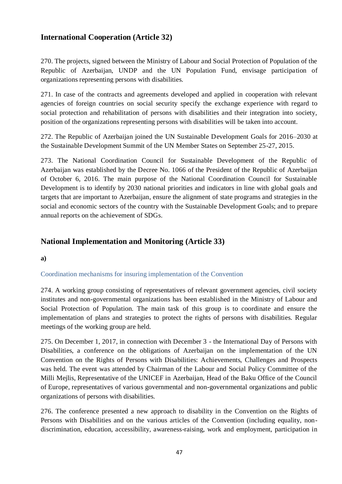### **International Cooperation (Article 32)**

270. The projects, signed between the Ministry of Labour and Social Protection of Population of the Republic of Azerbaijan, UNDP and the UN Population Fund, envisage participation of organizations representing persons with disabilities.

271. In case of the contracts and agreements developed and applied in cooperation with relevant agencies of foreign countries on social security specify the exchange experience with regard to social protection and rehabilitation of persons with disabilities and their integration into society, position of the organizations representing persons with disabilities will be taken into account.

272. The Republic of Azerbaijan joined the UN Sustainable Development Goals for 2016–2030 at the Sustainable Development Summit of the UN Member States on September 25-27, 2015.

273. The National Coordination Council for Sustainable Development of the Republic of Azerbaijan was established by the Decree No. 1066 of the President of the Republic of Azerbaijan of October 6, 2016. The main purpose of the National Coordination Council for Sustainable Development is to identify by 2030 national priorities and indicators in line with global goals and targets that are important to Azerbaijan, ensure the alignment of state programs and strategies in the social and economic sectors of the country with the Sustainable Development Goals; and to prepare annual reports on the achievement of SDGs.

### **National Implementation and Monitoring (Article 33)**

**a)**

### Coordination mechanisms for insuring implementation of the Convention

274. A working group consisting of representatives of relevant government agencies, civil society institutes and non-governmental organizations has been established in the Ministry of Labour and Social Protection of Population. The main task of this group is to coordinate and ensure the implementation of plans and strategies to protect the rights of persons with disabilities. Regular meetings of the working group are held.

275. On December 1, 2017, in connection with December 3 - the International Day of Persons with Disabilities, a conference on the obligations of Azerbaijan on the implementation of the UN Convention on the Rights of Persons with Disabilities: Achievements, Challenges and Prospects was held. The event was attended by Chairman of the Labour and Social Policy Committee of the Milli Mejlis, Representative of the UNICEF in Azerbaijan, Head of the Baku Office of the Council of Europe, representatives of various governmental and non-governmental organizations and public organizations of persons with disabilities.

276. The conference presented a new approach to disability in the Convention on the Rights of Persons with Disabilities and on the various articles of the Convention (including equality, nondiscrimination, education, accessibility, awareness-raising, work and employment, participation in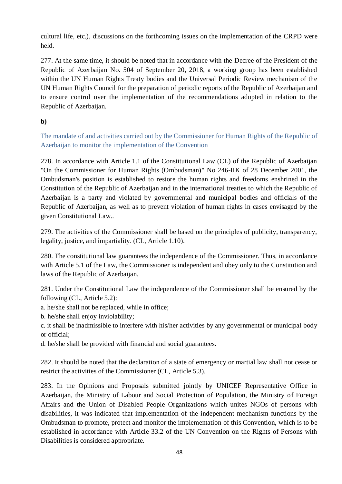cultural life, etc.), discussions on the forthcoming issues on the implementation of the CRPD were held.

277. At the same time, it should be noted that in accordance with the Decree of the President of the Republic of Azerbaijan No. 504 of September 20, 2018, a working group has been established within the UN Human Rights Treaty bodies and the Universal Periodic Review mechanism of the UN Human Rights Council for the preparation of periodic reports of the Republic of Azerbaijan and to ensure control over the implementation of the recommendations adopted in relation to the Republic of Azerbaijan.

**b)**

The mandate of and activities carried out by the Commissioner for Human Rights of the Republic of Azerbaijan to monitor the implementation of the Convention

278. In accordance with Article 1.1 of the Constitutional Law (CL) of the Republic of Azerbaijan "On the Commissioner for Human Rights (Ombudsman)" No 246-IIK of 28 December 2001, the Ombudsman's position is established to restore the human rights and freedoms enshrined in the Constitution of the Republic of Azerbaijan and in the international treaties to which the Republic of Azerbaijan is a party and violated by governmental and municipal bodies and officials of the Republic of Azerbaijan, as well as to prevent violation of human rights in cases envisaged by the given Constitutional Law..

279. The activities of the Commissioner shall be based on the principles of publicity, transparency, legality, justice, and impartiality. (CL, Article 1.10).

280. The constitutional law guarantees the independence of the Commissioner. Thus, in accordance with Article 5.1 of the Law, the Commissioner is independent and obey only to the Constitution and laws of the Republic of Azerbaijan.

281. Under the Constitutional Law the independence of the Commissioner shall be ensured by the following (CL, Article 5.2):

a. he/she shall not be replaced, while in office;

b. he/she shall enjoy inviolability;

c. it shall be inadmissible to interfere with his/her activities by any governmental or municipal body or official;

d. he/she shall be provided with financial and social guarantees.

282. It should be noted that the declaration of a state of emergency or martial law shall not cease or restrict the activities of the Commissioner (CL, Article 5.3).

283. In the Opinions and Proposals submitted jointly by UNICEF Representative Office in Azerbaijan, the Ministry of Labour and Social Protection of Population, the Ministry of Foreign Affairs and the Union of Disabled People Organizations which unites NGOs of persons with disabilities, it was indicated that implementation of the independent mechanism functions by the Ombudsman to promote, protect and monitor the implementation of this Convention, which is to be established in accordance with Article 33.2 of the UN Convention on the Rights of Persons with Disabilities is considered appropriate.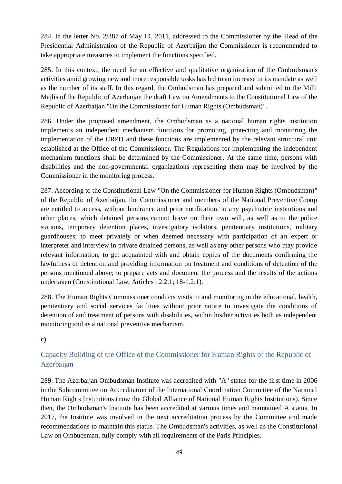284. In the letter No. 2/387 of May 14, 2011, addressed to the Commissioner by the Head of the Presidential Administration of the Republic of Azerbaijan the Commissioner is recommended to take appropriate measures to implement the functions specified.

285. In this context, the need for an effective and qualitative organization of the Ombudsman's activities amid growing new and more responsible tasks has led to an increase in its mandate as well as the number of its staff. In this regard, the Ombudsman has prepared and submitted to the Milli Majlis of the Republic of Azerbaijan the draft Law on Amendments to the Constitutional Law of the Republic of Azerbaijan "On the Commissioner for Human Rights (Ombudsman)".

286. Under the proposed amendment, the Ombudsman as a national human rights institution implements an independent mechanism functions for promoting, protecting and monitoring the implementation of the CRPD and these functions are implemented by the relevant structural unit established at the Office of the Commissioner. The Regulations for implementing the independent mechanism functions shall be determined by the Commissioner. At the same time, persons with disabilities and the non-governmental organizations representing them may be involved by the Commissioner in the monitoring process.

287. According to the Constitutional Law "On the Commissioner for Human Rights (Ombudsman)" of the Republic of Azerbaijan, the Commissioner and members of the National Preventive Group are entitled to access, without hindrance and prior notification, to any psychiatric institutions and other places, which detained persons cannot leave on their own will, as well as to the police stations, temporary detention places, investigatory isolators, penitentiary institutions, military guardhouses; to meet privately or when deemed necessary with participation of an expert or interpreter and interview in private detained persons, as well as any other persons who may provide relevant information; to get acquainted with and obtain copies of the documents confirming the lawfulness of detention and providing information on treatment and conditions of detention of the persons mentioned above; to prepare acts and document the process and the results of the actions undertaken (Constitutional Law, Articles 12.2.1; 18-1.2.1).

288. The Human Rights Commissioner conducts visits to and monitoring in the educational, health, penitentiary and social services facilities without prior notice to investigate the conditions of detention of and treatment of persons with disabilities, within his/her activities both as independent monitoring and as a national preventive mechanism.

### **c)**

### Capacity Building of the Office of the Commissioner for Human Rights of the Republic of Azerbaijan

289. The Azerbaijan Ombudsman Institute was accredited with "A" status for the first time in 2006 in the Subcommittee on Accreditation of the International Coordination Committee of the National Human Rights Institutions (now the Global Alliance of National Human Rights Institutions). Since then, the Ombudsman's Institute has been accredited at various times and maintained A status. In 2017, the Institute was involved in the next accreditation process by the Committee and made recommendations to maintain this status. The Ombudsman's activities, as well as the Constitutional Law on Ombudsman, fully comply with all requirements of the Paris Principles.